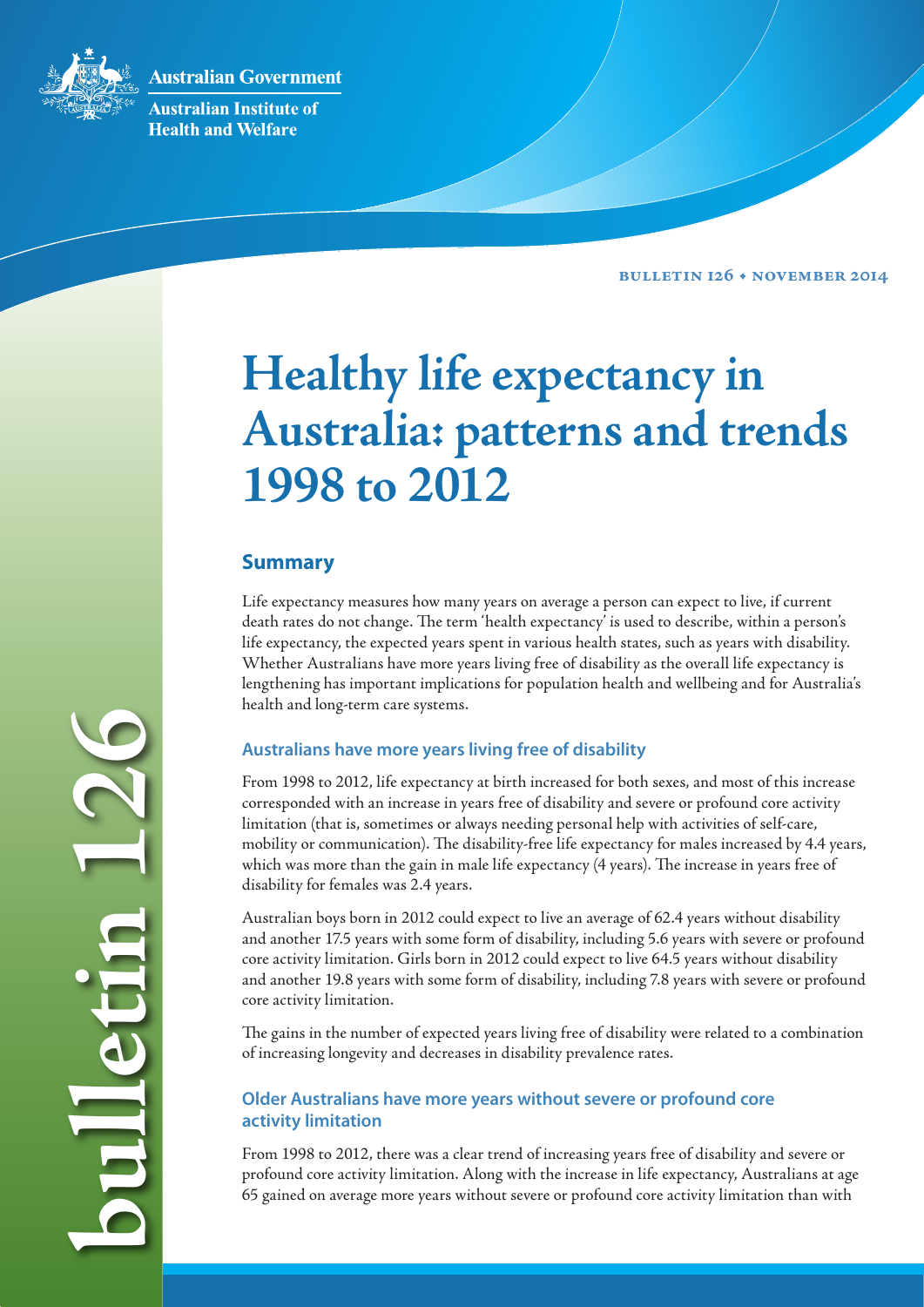**Australian Government** 



**Australian Institute of Health and Welfare** 

**Bulletin 126 • NOVEMBER 2014**

# **Healthy life expectancy in Australia: patterns and trends 1998 to 2012**

# **Summary**

Life expectancy measures how many years on average a person can expect to live, if current death rates do not change. The term 'health expectancy' is used to describe, within a person's life expectancy, the expected years spent in various health states, such as years with disability. Whether Australians have more years living free of disability as the overall life expectancy is lengthening has important implications for population health and wellbeing and for Australia's health and long-term care systems.

# **Australians have more years living free of disability**

From 1998 to 2012, life expectancy at birth increased for both sexes, and most of this increase corresponded with an increase in years free of disability and severe or profound core activity limitation (that is, sometimes or always needing personal help with activities of self-care, mobility or communication). The disability-free life expectancy for males increased by 4.4 years, which was more than the gain in male life expectancy (4 years). The increase in years free of disability for females was 2.4 years.

Australian boys born in 2012 could expect to live an average of 62.4 years without disability and another 17.5 years with some form of disability, including 5.6 years with severe or profound core activity limitation. Girls born in 2012 could expect to live 64.5 years without disability and another 19.8 years with some form of disability, including 7.8 years with severe or profound core activity limitation.

The gains in the number of expected years living free of disability were related to a combination of increasing longevity and decreases in disability prevalence rates.

## **Older Australians have more years without severe or profound core activity limitation**

From 1998 to 2012, there was a clear trend of increasing years free of disability and severe or profound core activity limitation. Along with the increase in life expectancy, Australians at age 65 gained on average more years without severe or profound core activity limitation than with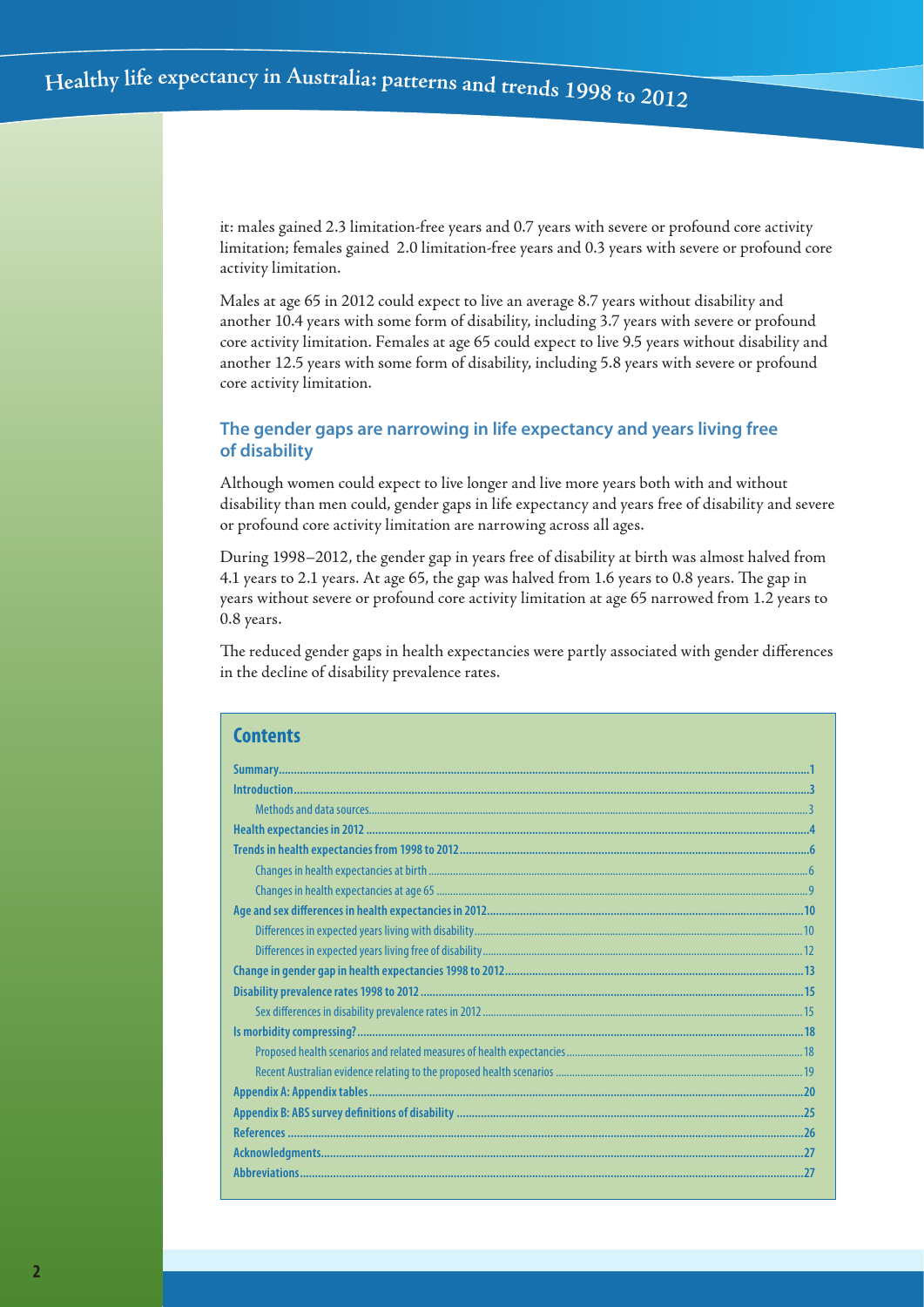it: males gained 2.3 limitation-free years and 0.7 years with severe or profound core activity limitation; females gained 2.0 limitation-free years and 0.3 years with severe or profound core activity limitation.

Males at age 65 in 2012 could expect to live an average 8.7 years without disability and another 10.4 years with some form of disability, including 3.7 years with severe or profound core activity limitation. Females at age 65 could expect to live 9.5 years without disability and another 12.5 years with some form of disability, including 5.8 years with severe or profound core activity limitation.

## **The gender gaps are narrowing in life expectancy and years living free of disability**

Although women could expect to live longer and live more years both with and without disability than men could, gender gaps in life expectancy and years free of disability and severe or profound core activity limitation are narrowing across all ages.

During 1998–2012, the gender gap in years free of disability at birth was almost halved from 4.1 years to 2.1 years. At age 65, the gap was halved from 1.6 years to 0.8 years. The gap in years without severe or profound core activity limitation at age 65 narrowed from 1.2 years to 0.8 years.

The reduced gender gaps in health expectancies were partly associated with gender differences in the decline of disability prevalence rates.

| <b>Contents</b> |
|-----------------|
|                 |
|                 |
|                 |
|                 |
|                 |
|                 |
|                 |
|                 |
|                 |
|                 |
|                 |
|                 |
|                 |
|                 |
|                 |
|                 |
|                 |
|                 |
|                 |
|                 |
|                 |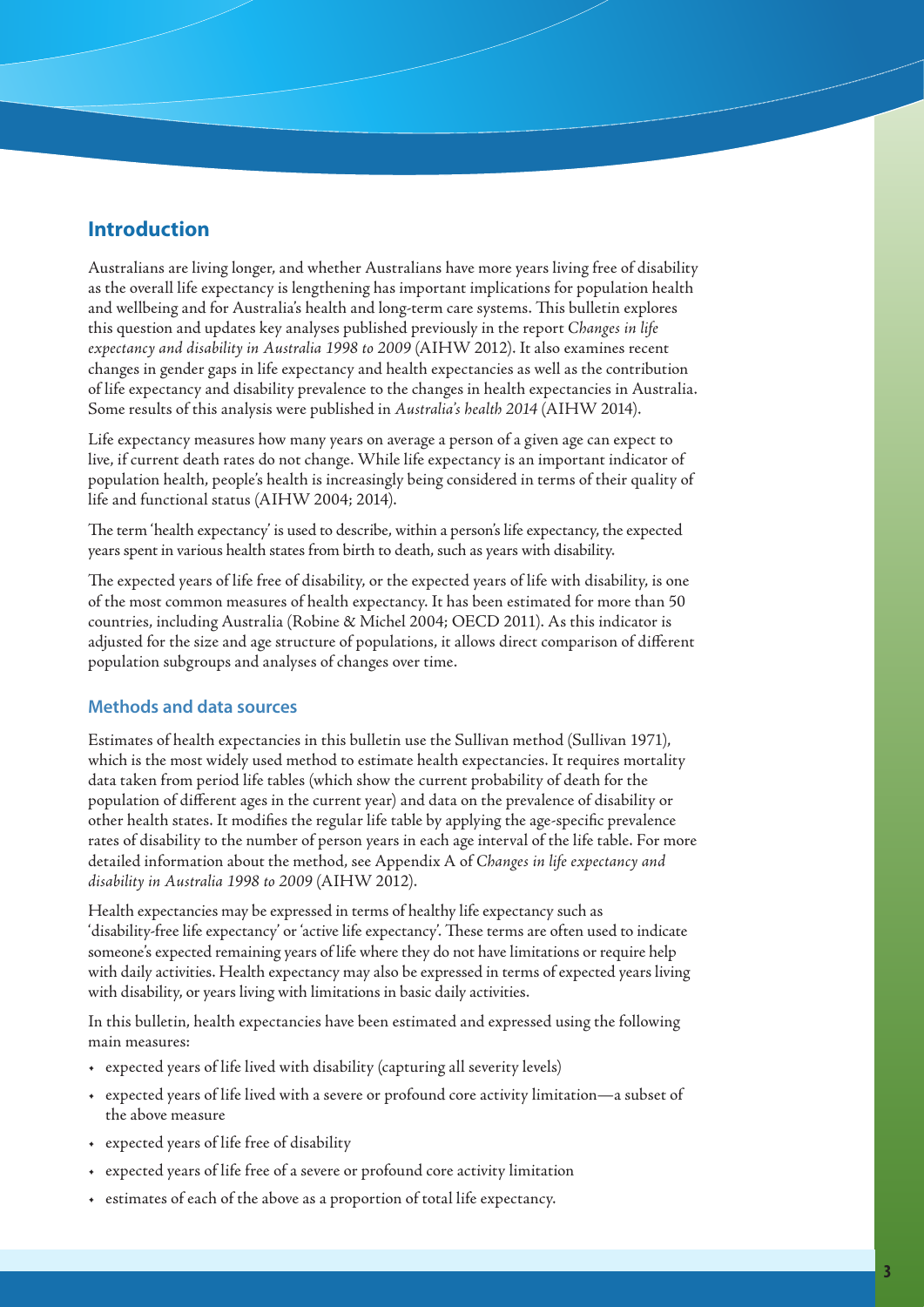# **Introduction**

Australians are living longer, and whether Australians have more years living free of disability as the overall life expectancy is lengthening has important implications for population health and wellbeing and for Australia's health and long-term care systems. This bulletin explores this question and updates key analyses published previously in the report *Changes in life expectancy and disability in Australia 1998 to 2009* (AIHW 2012). It also examines recent changes in gender gaps in life expectancy and health expectancies as well as the contribution of life expectancy and disability prevalence to the changes in health expectancies in Australia. Some results of this analysis were published in *Australia's health 2014* (AIHW 2014).

Life expectancy measures how many years on average a person of a given age can expect to live, if current death rates do not change. While life expectancy is an important indicator of population health, people's health is increasingly being considered in terms of their quality of life and functional status (AIHW 2004; 2014).

The term 'health expectancy' is used to describe, within a person's life expectancy, the expected years spent in various health states from birth to death, such as years with disability.

The expected years of life free of disability, or the expected years of life with disability, is one of the most common measures of health expectancy. It has been estimated for more than 50 countries, including Australia (Robine & Michel 2004; OECD 2011). As this indicator is adjusted for the size and age structure of populations, it allows direct comparison of different population subgroups and analyses of changes over time.

## **Methods and data sources**

Estimates of health expectancies in this bulletin use the Sullivan method (Sullivan 1971), which is the most widely used method to estimate health expectancies. It requires mortality data taken from period life tables (which show the current probability of death for the population of different ages in the current year) and data on the prevalence of disability or other health states. It modifies the regular life table by applying the age-specific prevalence rates of disability to the number of person years in each age interval of the life table. For more detailed information about the method, see Appendix A of *Changes in life expectancy and disability in Australia 1998 to 2009* (AIHW 2012).

Health expectancies may be expressed in terms of healthy life expectancy such as 'disability-free life expectancy' or 'active life expectancy'. These terms are often used to indicate someone's expected remaining years of life where they do not have limitations or require help with daily activities. Health expectancy may also be expressed in terms of expected years living with disability, or years living with limitations in basic daily activities.

In this bulletin, health expectancies have been estimated and expressed using the following main measures:

- • expected years of life lived with disability (capturing all severity levels)
- • expected years of life lived with a severe or profound core activity limitation—a subset of the above measure
- • expected years of life free of disability
- expected years of life free of a severe or profound core activity limitation
- • estimates of each of the above as a proportion of total life expectancy.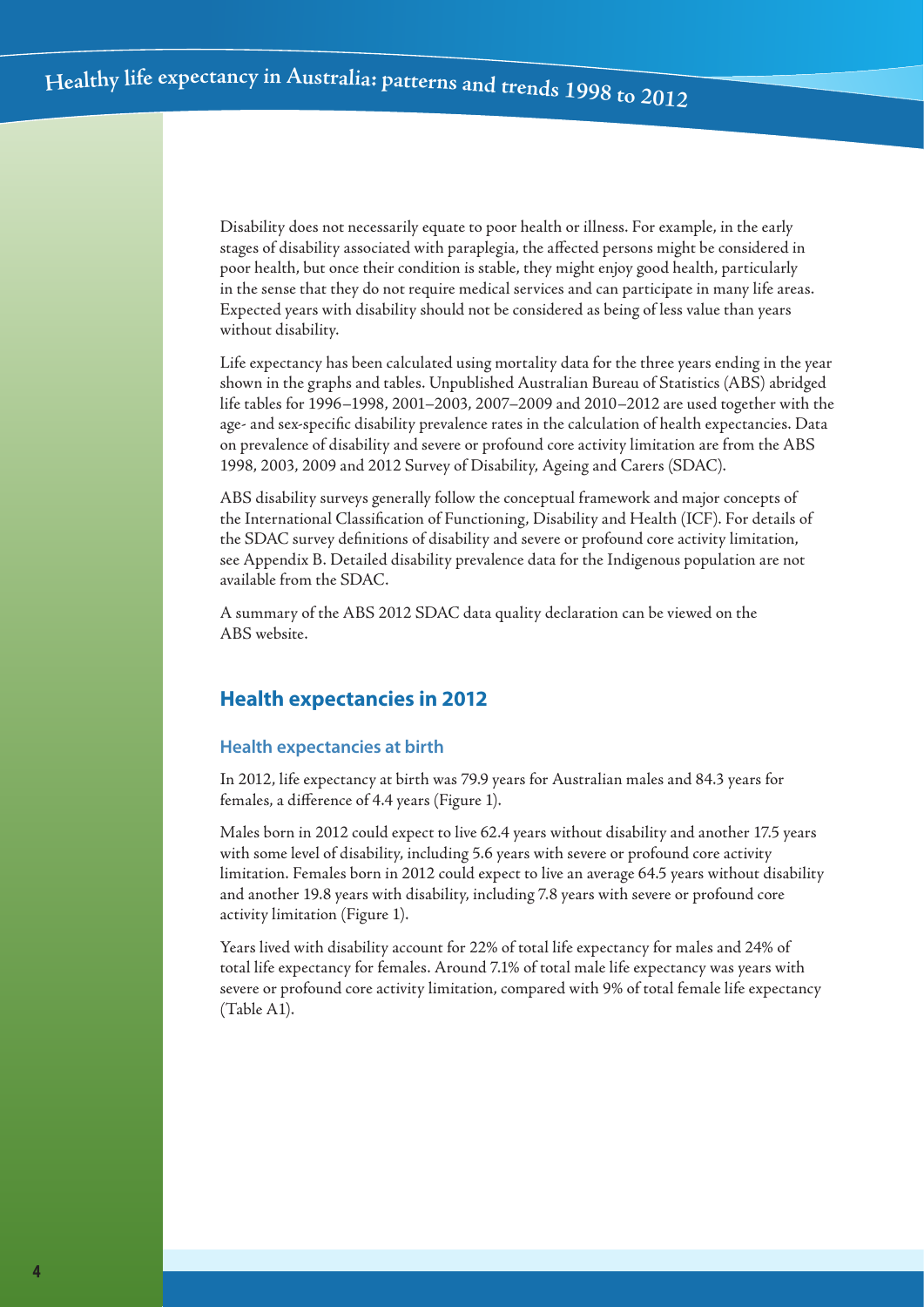Disability does not necessarily equate to poor health or illness. For example, in the early stages of disability associated with paraplegia, the affected persons might be considered in poor health, but once their condition is stable, they might enjoy good health, particularly in the sense that they do not require medical services and can participate in many life areas. Expected years with disability should not be considered as being of less value than years without disability.

Life expectancy has been calculated using mortality data for the three years ending in the year shown in the graphs and tables. Unpublished Australian Bureau of Statistics (ABS) abridged life tables for 1996–1998, 2001–2003, 2007–2009 and 2010–2012 are used together with the age- and sex-specific disability prevalence rates in the calculation of health expectancies. Data on prevalence of disability and severe or profound core activity limitation are from the ABS 1998, 2003, 2009 and 2012 Survey of Disability, Ageing and Carers (SDAC).

ABS disability surveys generally follow the conceptual framework and major concepts of the International Classification of Functioning, Disability and Health (ICF). For details of the SDAC survey definitions of disability and severe or profound core activity limitation, see Appendix B. Detailed disability prevalence data for the Indigenous population are not available from the SDAC.

A summary of the ABS 2012 SDAC data quality declaration can be viewed on the ABS website.

# **Health expectancies in 2012**

## **Health expectancies at birth**

In 2012, life expectancy at birth was 79.9 years for Australian males and 84.3 years for females, a difference of 4.4 years (Figure 1).

Males born in 2012 could expect to live 62.4 years without disability and another 17.5 years with some level of disability, including 5.6 years with severe or profound core activity limitation. Females born in 2012 could expect to live an average 64.5 years without disability and another 19.8 years with disability, including 7.8 years with severe or profound core activity limitation (Figure 1).

Years lived with disability account for 22% of total life expectancy for males and 24% of total life expectancy for females. Around 7.1% of total male life expectancy was years with severe or profound core activity limitation, compared with 9% of total female life expectancy (Table A1).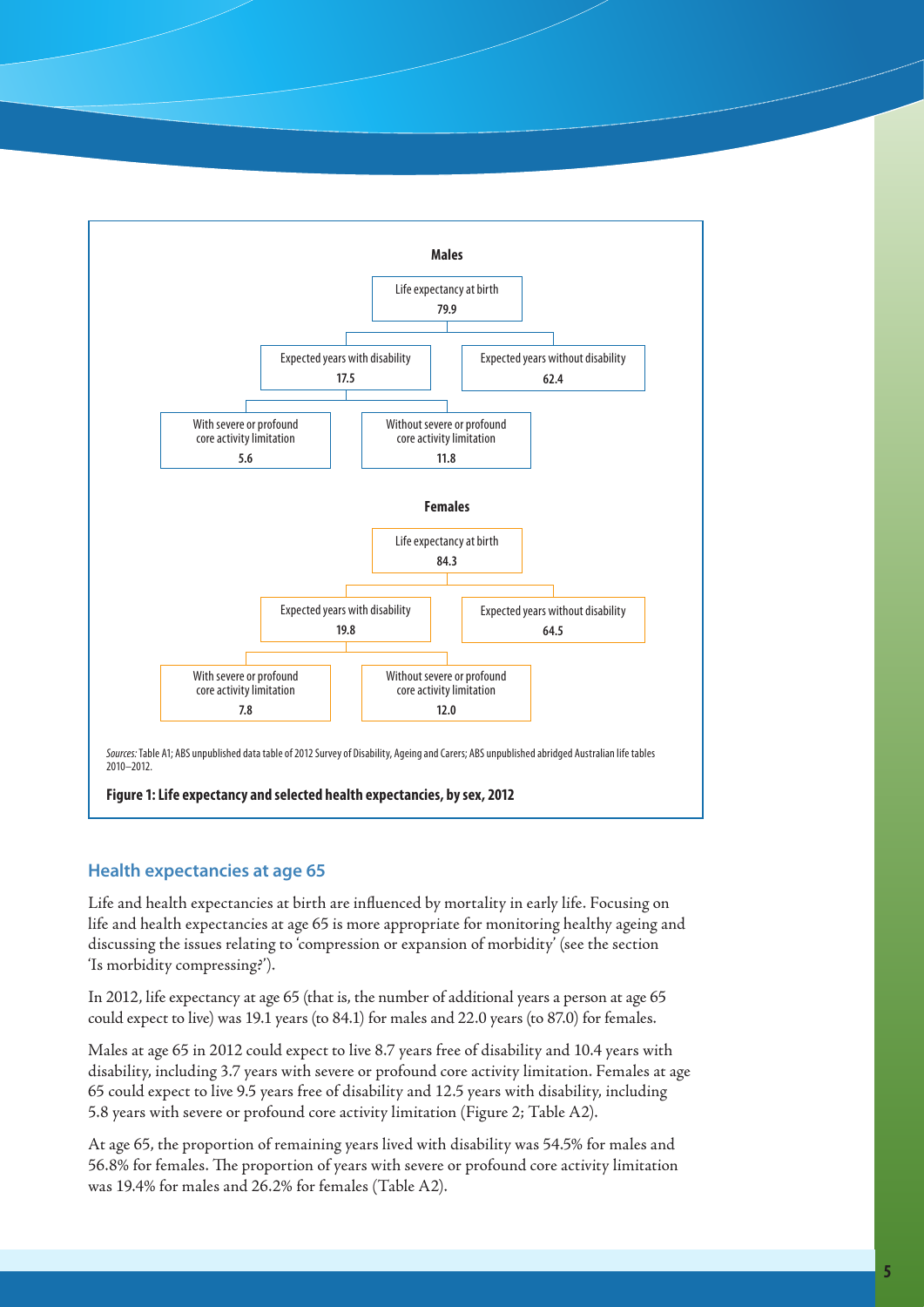

## **Health expectancies at age 65**

Life and health expectancies at birth are influenced by mortality in early life. Focusing on life and health expectancies at age 65 is more appropriate for monitoring healthy ageing and discussing the issues relating to 'compression or expansion of morbidity' (see the section 'Is morbidity compressing?').

In 2012, life expectancy at age 65 (that is, the number of additional years a person at age 65 could expect to live) was 19.1 years (to 84.1) for males and 22.0 years (to 87.0) for females.

Males at age 65 in 2012 could expect to live 8.7 years free of disability and 10.4 years with disability, including 3.7 years with severe or profound core activity limitation. Females at age 65 could expect to live 9.5 years free of disability and 12.5 years with disability, including 5.8 years with severe or profound core activity limitation (Figure 2; Table A2).

At age 65, the proportion of remaining years lived with disability was 54.5% for males and 56.8% for females. The proportion of years with severe or profound core activity limitation was 19.4% for males and 26.2% for females (Table A2).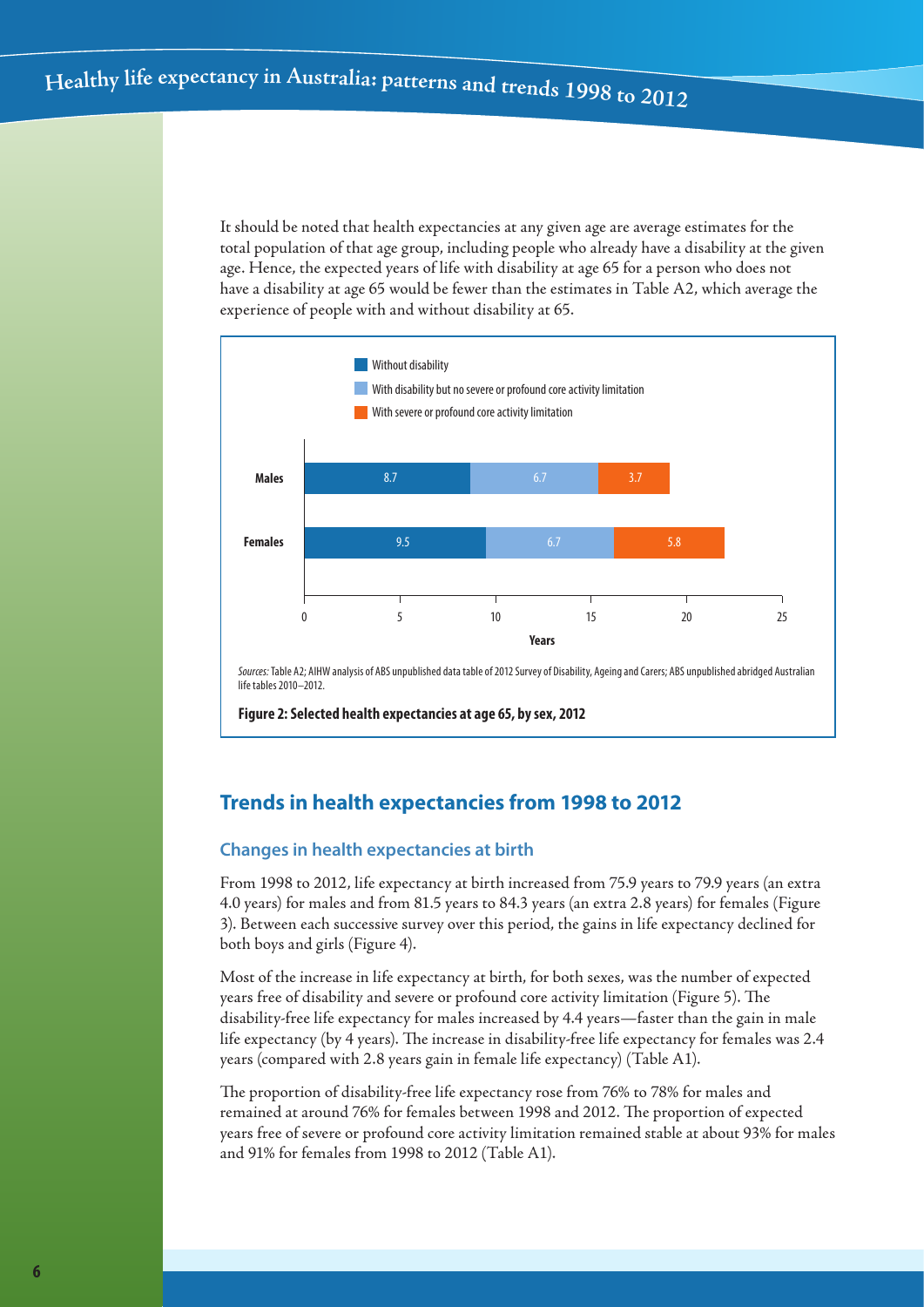It should be noted that health expectancies at any given age are average estimates for the total population of that age group, including people who already have a disability at the given age. Hence, the expected years of life with disability at age 65 for a person who does not have a disability at age 65 would be fewer than the estimates in Table A2, which average the experience of people with and without disability at 65.



**Figure 2: Selected health expectancies at age 65, by sex, 2012**

# **Trends in health expectancies from 1998 to 2012**

## **Changes in health expectancies at birth**

From 1998 to 2012, life expectancy at birth increased from 75.9 years to 79.9 years (an extra 4.0 years) for males and from 81.5 years to 84.3 years (an extra 2.8 years) for females (Figure 3). Between each successive survey over this period, the gains in life expectancy declined for both boys and girls (Figure 4).

Most of the increase in life expectancy at birth, for both sexes, was the number of expected years free of disability and severe or profound core activity limitation (Figure 5). The disability-free life expectancy for males increased by 4.4 years—faster than the gain in male life expectancy (by 4 years). The increase in disability-free life expectancy for females was 2.4 years (compared with 2.8 years gain in female life expectancy) (Table A1).

The proportion of disability-free life expectancy rose from 76% to 78% for males and remained at around 76% for females between 1998 and 2012. The proportion of expected years free of severe or profound core activity limitation remained stable at about 93% for males and 91% for females from 1998 to 2012 (Table A1).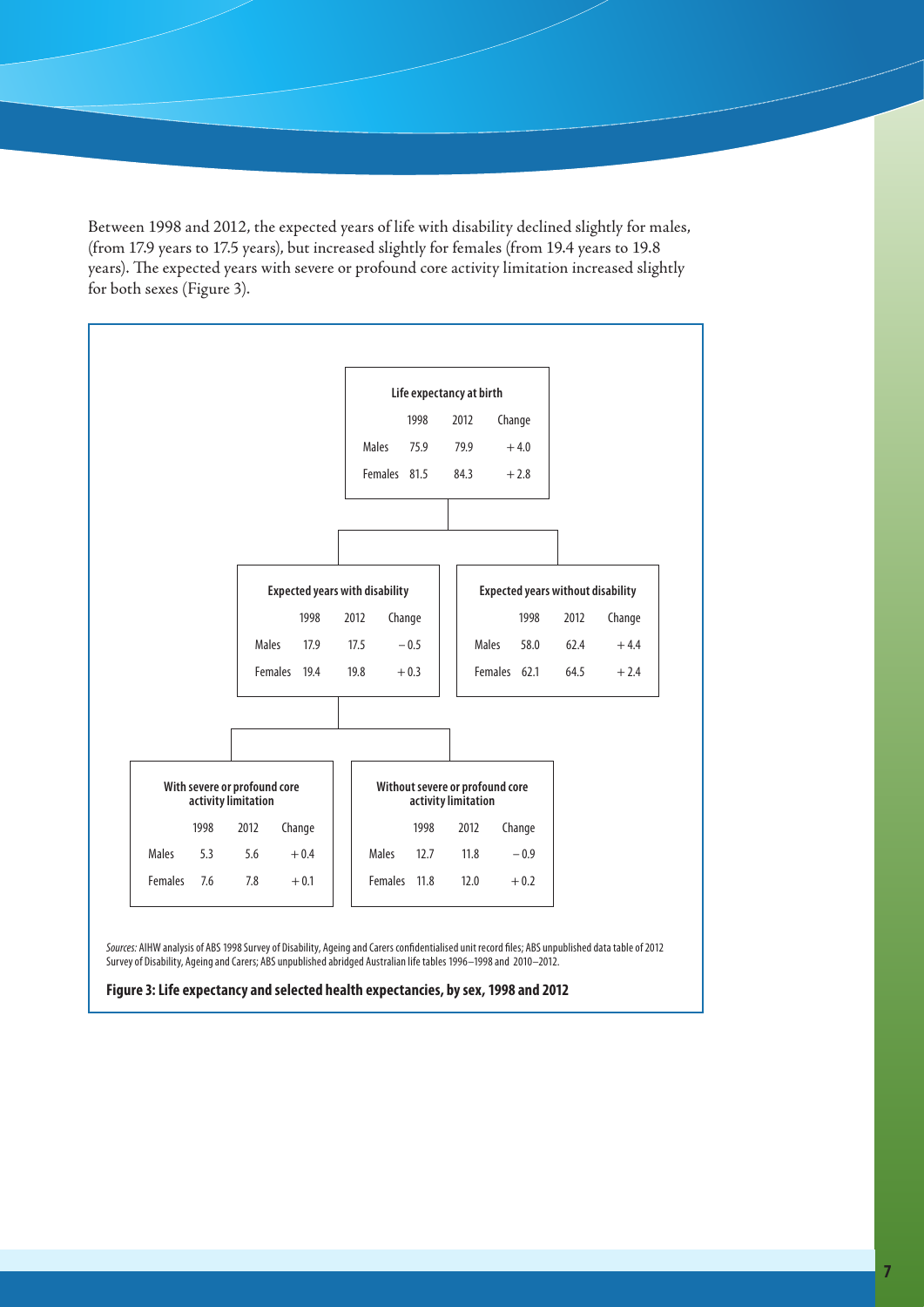Between 1998 and 2012, the expected years of life with disability declined slightly for males, (from 17.9 years to 17.5 years), but increased slightly for females (from 19.4 years to 19.8 years). The expected years with severe or profound core activity limitation increased slightly for both sexes (Figure 3).



*Sources:* AIHW analysis of ABS 1998 Survey of Disability, Ageing and Carers confidentialised unit record files; ABS unpublished data table of 2012 Survey of Disability, Ageing and Carers; ABS unpublished abridged Australian life tables 1996–1998 and 2010–2012.

**Figure 3: Life expectancy and selected health expectancies, by sex, 1998 and 2012**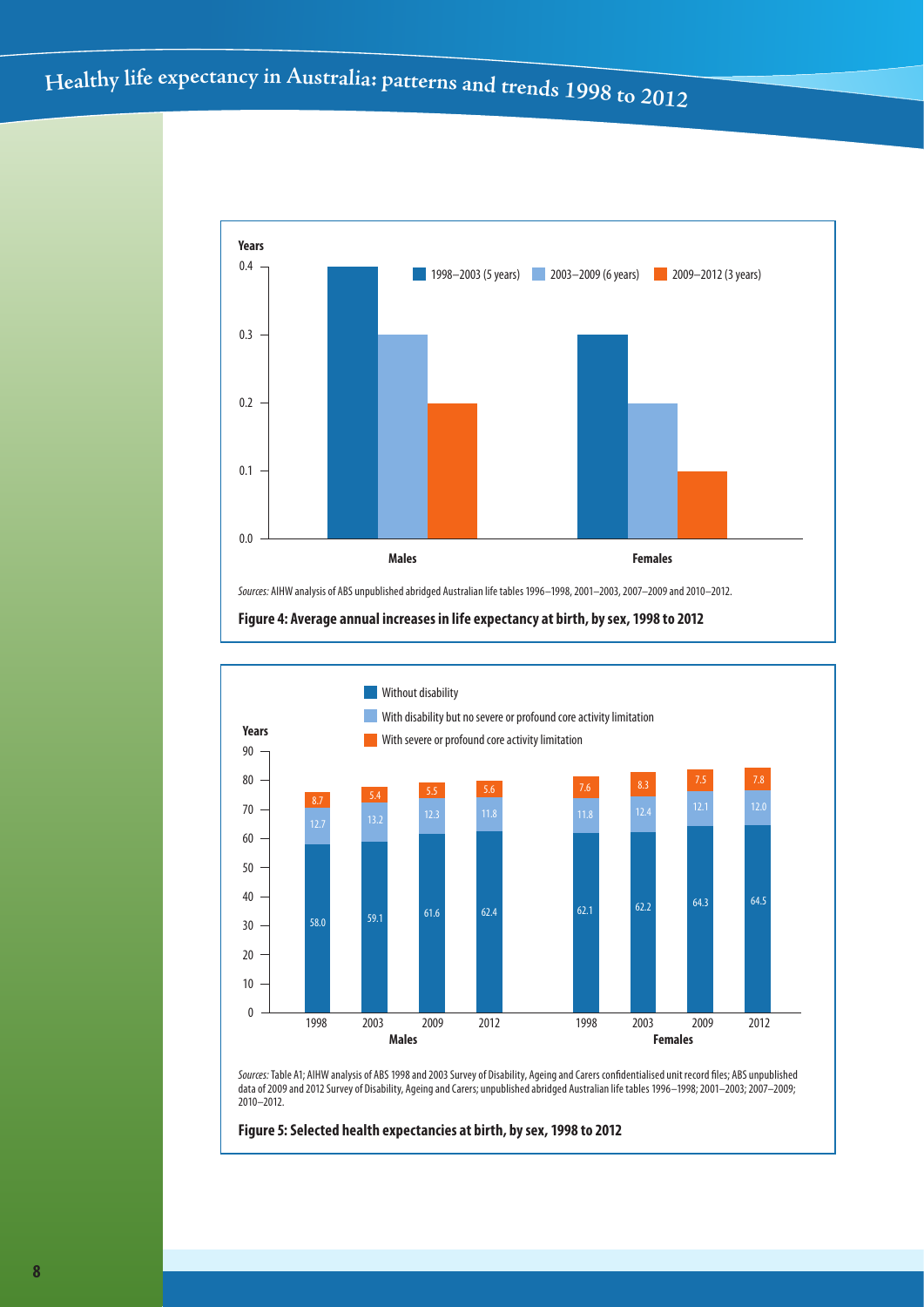# Healthy life expectancy in Australia: patterns and trends 1998 to 2012



**Figure 4: Average annual increases in life expectancy at birth, by sex, 1998 to 2012**



*Sources:* Table A1; AIHW analysis of ABS 1998 and 2003 Survey of Disability, Ageing and Carers confidentialised unit record files; ABS unpublished data of 2009 and 2012 Survey of Disability, Ageing and Carers; unpublished abridged Australian life tables 1996–1998; 2001–2003; 2007–2009; 2010–2012.

**Figure 5: Selected health expectancies at birth, by sex, 1998 to 2012**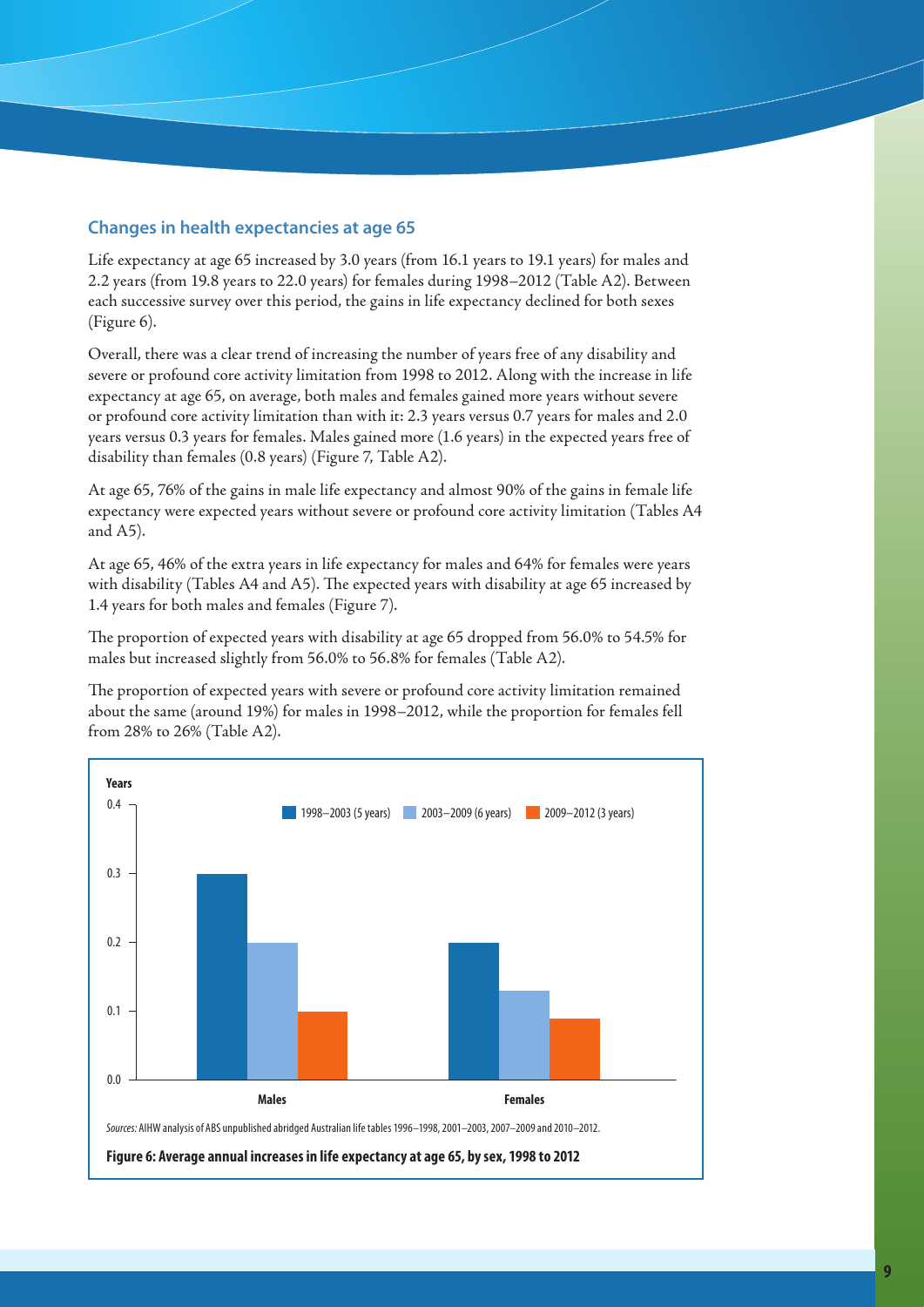## **Changes in health expectancies at age 65**

Life expectancy at age 65 increased by 3.0 years (from 16.1 years to 19.1 years) for males and 2.2 years (from 19.8 years to 22.0 years) for females during 1998–2012 (Table A2). Between each successive survey over this period, the gains in life expectancy declined for both sexes (Figure 6).

Overall, there was a clear trend of increasing the number of years free of any disability and severe or profound core activity limitation from 1998 to 2012. Along with the increase in life expectancy at age 65, on average, both males and females gained more years without severe or profound core activity limitation than with it: 2.3 years versus 0.7 years for males and 2.0 years versus 0.3 years for females. Males gained more (1.6 years) in the expected years free of disability than females (0.8 years) (Figure 7, Table A2).

At age 65, 76% of the gains in male life expectancy and almost 90% of the gains in female life expectancy were expected years without severe or profound core activity limitation (Tables A4 and A5).

At age 65, 46% of the extra years in life expectancy for males and 64% for females were years with disability (Tables A4 and A5). The expected years with disability at age 65 increased by 1.4 years for both males and females (Figure 7).

The proportion of expected years with disability at age 65 dropped from 56.0% to 54.5% for males but increased slightly from 56.0% to 56.8% for females (Table A2).

The proportion of expected years with severe or profound core activity limitation remained about the same (around 19%) for males in 1998–2012, while the proportion for females fell from 28% to 26% (Table A2).

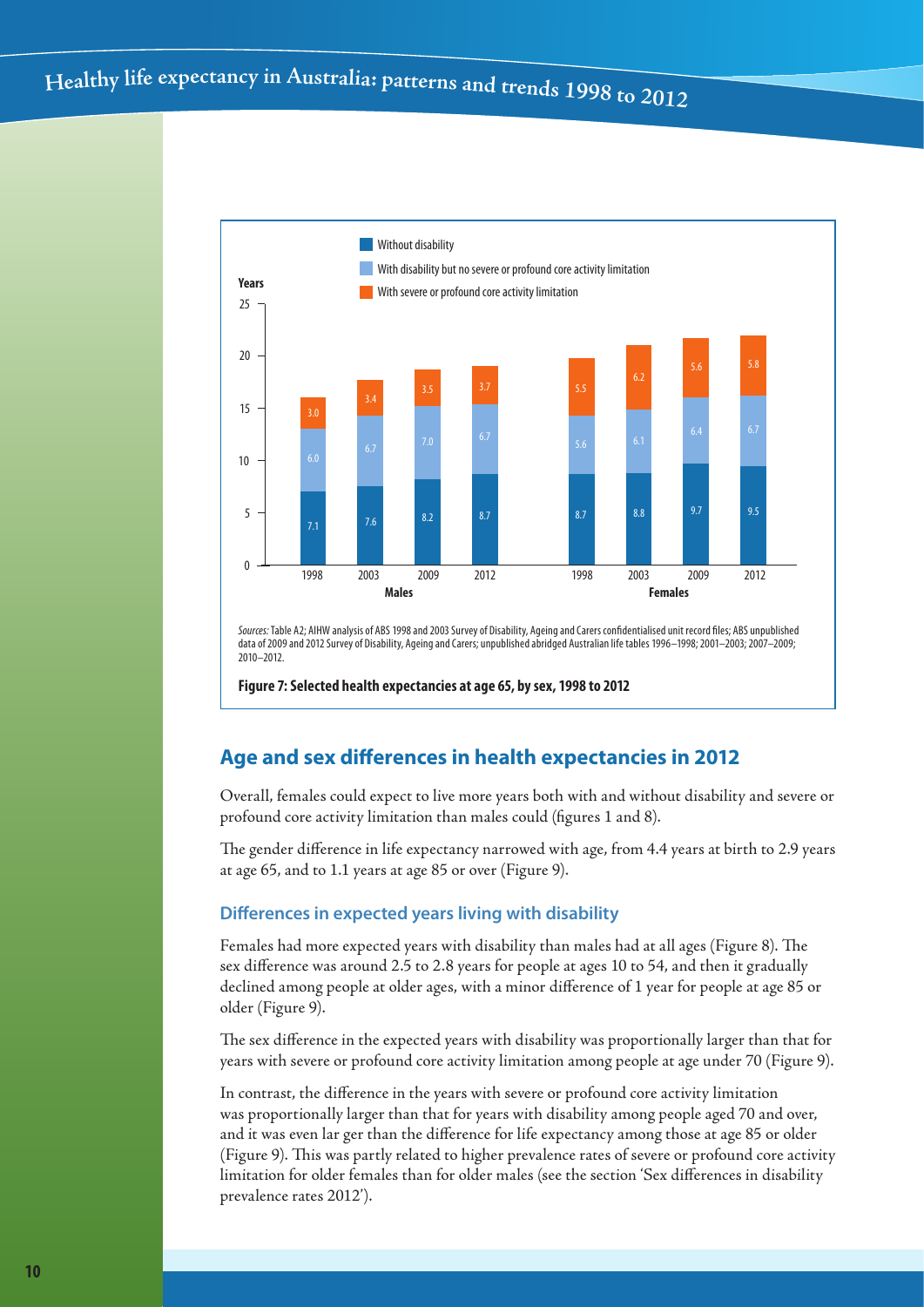

*Sources:* Table A2; AIHW analysis of ABS 1998 and 2003 Survey of Disability, Ageing and Carers confidentialised unit record files; ABS unpublished data of 2009 and 2012 Survey of Disability, Ageing and Carers; unpublished abridged Australian life tables 1996–1998; 2001–2003; 2007–2009; 2010–2012.

**Figure 7: Selected health expectancies at age 65, by sex, 1998 to 2012**

## **Age and sex differences in health expectancies in 2012**

Overall, females could expect to live more years both with and without disability and severe or profound core activity limitation than males could (figures 1 and 8).

The gender difference in life expectancy narrowed with age, from 4.4 years at birth to 2.9 years at age 65, and to 1.1 years at age 85 or over (Figure 9).

### **Differences in expected years living with disability**

Females had more expected years with disability than males had at all ages (Figure 8). The sex difference was around 2.5 to 2.8 years for people at ages 10 to 54, and then it gradually declined among people at older ages, with a minor difference of 1 year for people at age 85 or older (Figure 9).

The sex difference in the expected years with disability was proportionally larger than that for years with severe or profound core activity limitation among people at age under 70 (Figure 9).

In contrast, the difference in the years with severe or profound core activity limitation was proportionally larger than that for years with disability among people aged 70 and over, and it was even lar ger than the difference for life expectancy among those at age 85 or older (Figure 9). This was partly related to higher prevalence rates of severe or profound core activity limitation for older females than for older males (see the section 'Sex differences in disability prevalence rates 2012').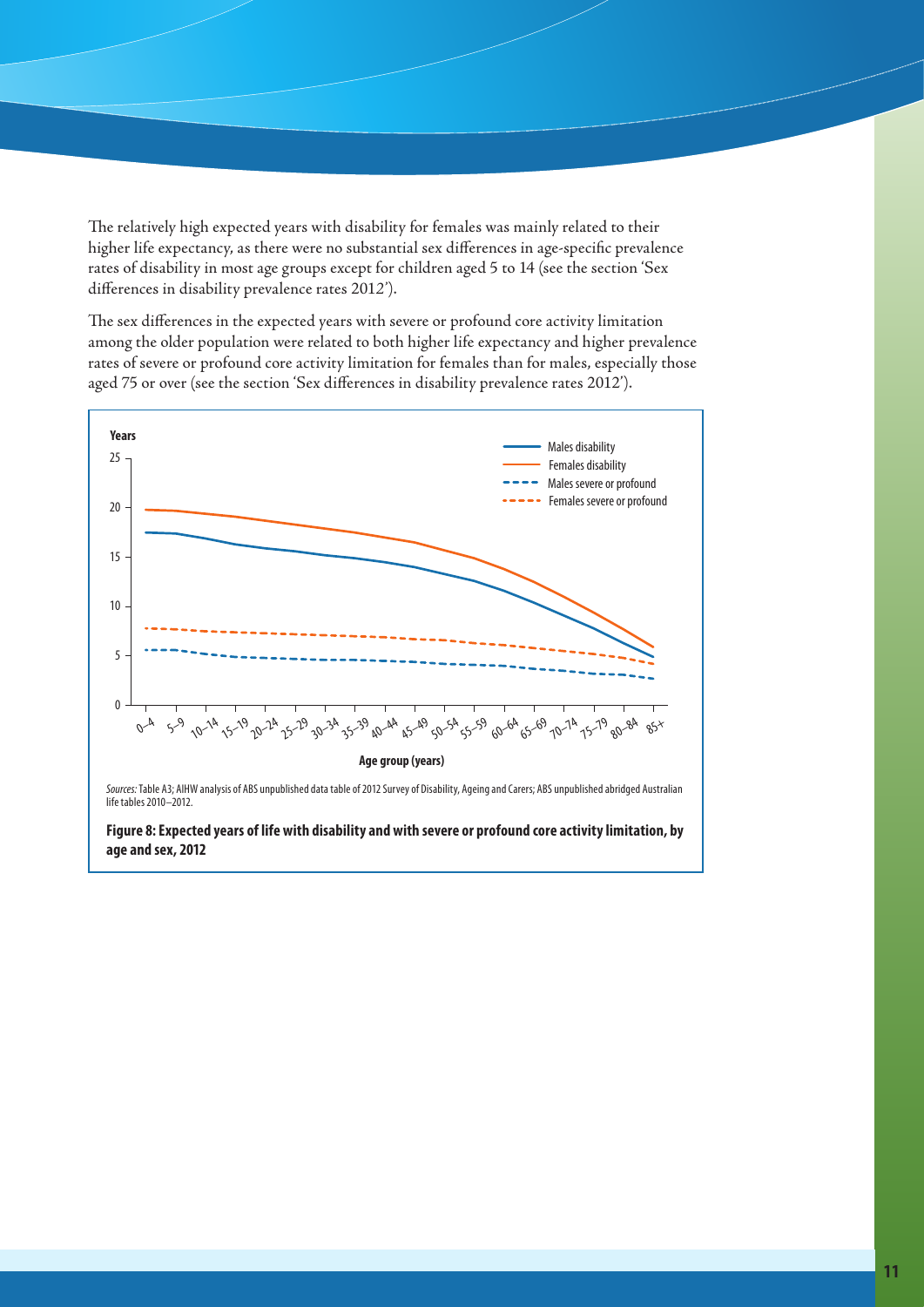The relatively high expected years with disability for females was mainly related to their higher life expectancy, as there were no substantial sex differences in age-specific prevalence rates of disability in most age groups except for children aged 5 to 14 (see the section 'Sex differences in disability prevalence rates 201*2'*).

The sex differences in the expected years with severe or profound core activity limitation among the older population were related to both higher life expectancy and higher prevalence rates of severe or profound core activity limitation for females than for males, especially those aged 75 or over (see the section 'Sex differences in disability prevalence rates 2012').



**Figure 8: Expected years of life with disability and with severe or profound core activity limitation, by age and sex, 2012**

Females severe or profound

Males severe or profound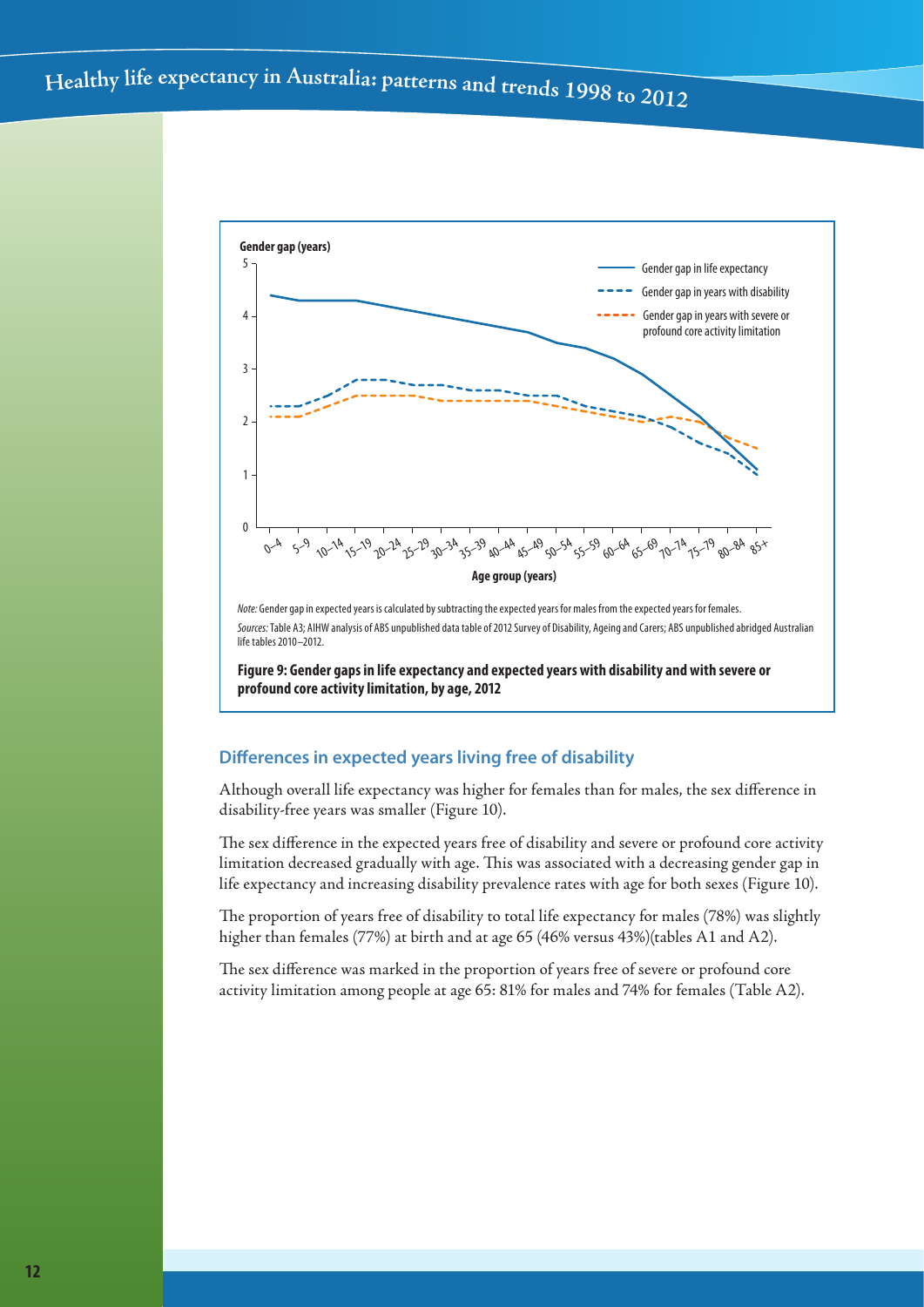

*Note:* Gender gap in expected years is calculated by subtracting the expected years for males from the expected years for females. *Sources:* Table A3; AIHW analysis of ABS unpublished data table of 2012 Survey of Disability, Ageing and Carers; ABS unpublished abridged Australian life tables 2010–2012.

**Figure 9: Gender gaps in life expectancy and expected years with disability and with severe or profound core activity limitation, by age, 2012**

## **Differences in expected years living free of disability**

Although overall life expectancy was higher for females than for males, the sex difference in disability-free years was smaller (Figure 10).

The sex difference in the expected years free of disability and severe or profound core activity limitation decreased gradually with age. This was associated with a decreasing gender gap in life expectancy and increasing disability prevalence rates with age for both sexes (Figure 10).

The proportion of years free of disability to total life expectancy for males (78%) was slightly higher than females (77%) at birth and at age 65 (46% versus 43%)(tables A1 and A2).

The sex difference was marked in the proportion of years free of severe or profound core activity limitation among people at age 65: 81% for males and 74% for females (Table A2).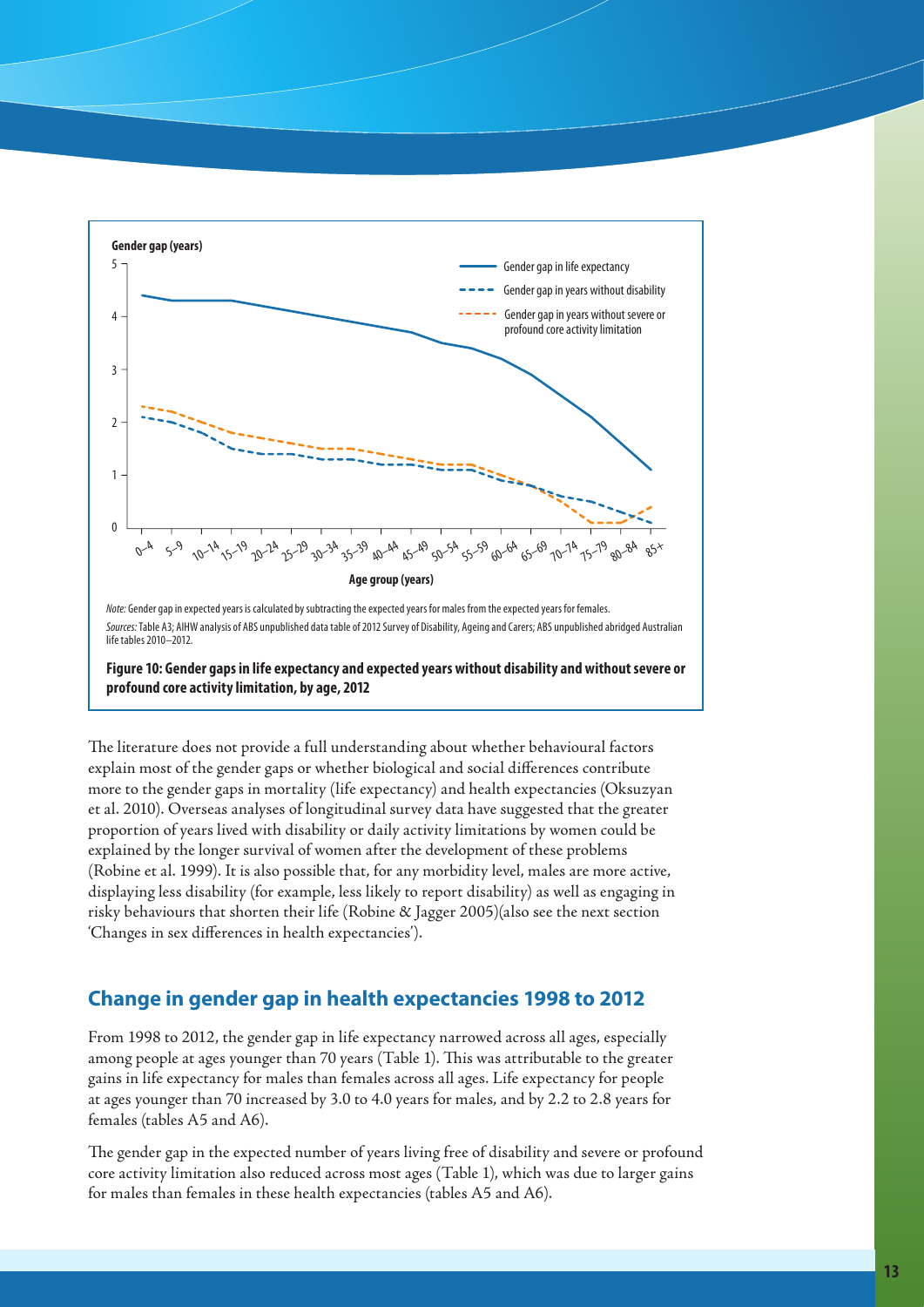

**Figure 10: Gender gaps in life expectancy and expected years without disability and without severe or profound core activity limitation, by age, 2012**

The literature does not provide a full understanding about whether behavioural factors explain most of the gender gaps or whether biological and social differences contribute more to the gender gaps in mortality (life expectancy) and health expectancies (Oksuzyan et al. 2010). Overseas analyses of longitudinal survey data have suggested that the greater proportion of years lived with disability or daily activity limitations by women could be explained by the longer survival of women after the development of these problems (Robine et al. 1999). It is also possible that, for any morbidity level, males are more active, displaying less disability (for example, less likely to report disability) as well as engaging in risky behaviours that shorten their life (Robine & Jagger 2005)(also see the next section 'Changes in sex differences in health expectancies').

# **Change in gender gap in health expectancies 1998 to 2012**

From 1998 to 2012, the gender gap in life expectancy narrowed across all ages, especially among people at ages younger than 70 years (Table 1). This was attributable to the greater gains in life expectancy for males than females across all ages. Life expectancy for people at ages younger than 70 increased by 3.0 to 4.0 years for males, and by 2.2 to 2.8 years for females (tables A5 and A6).

The gender gap in the expected number of years living free of disability and severe or profound core activity limitation also reduced across most ages (Table 1), which was due to larger gains for males than females in these health expectancies (tables A5 and A6).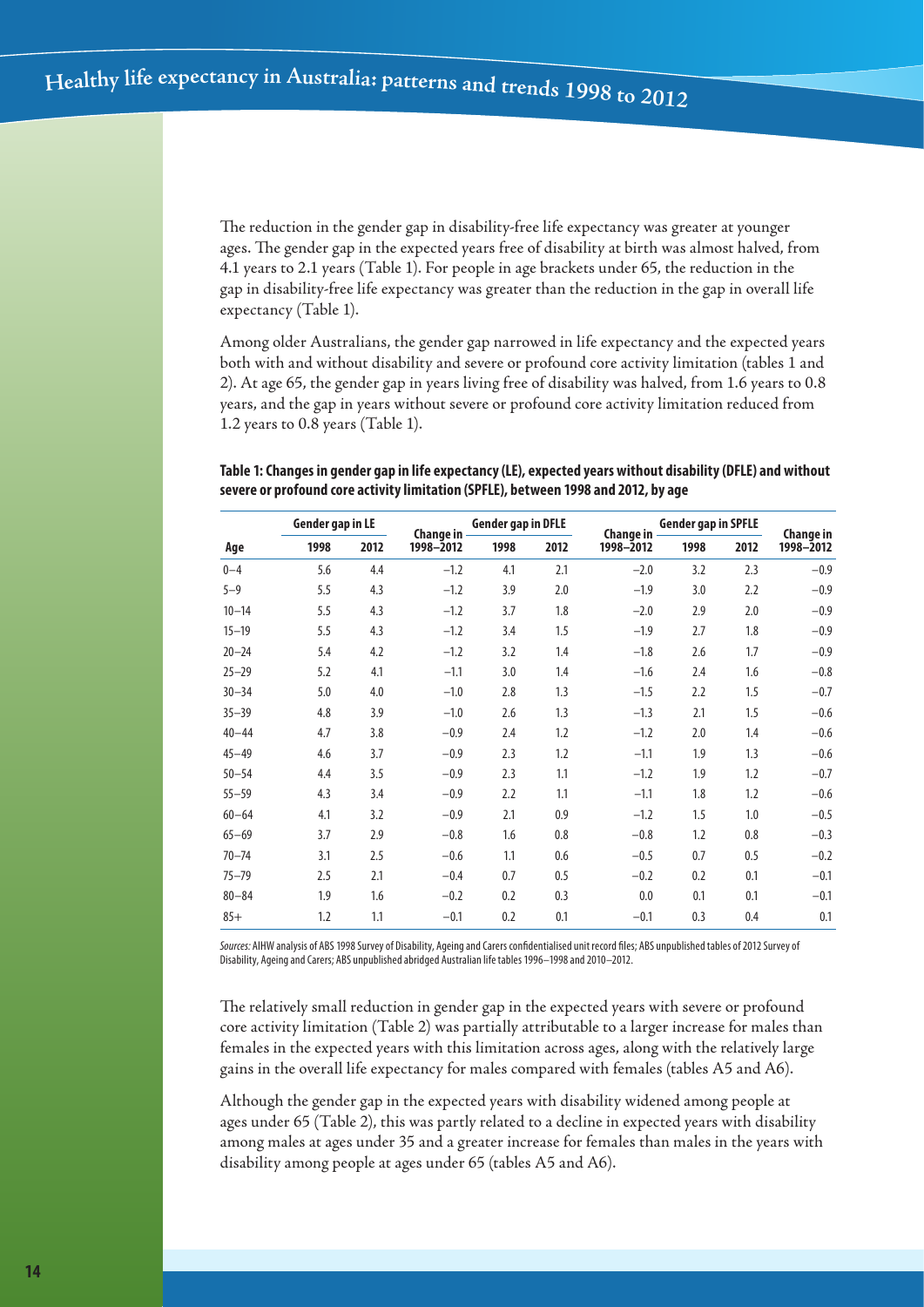The reduction in the gender gap in disability-free life expectancy was greater at younger ages. The gender gap in the expected years free of disability at birth was almost halved, from 4.1 years to 2.1 years (Table 1). For people in age brackets under 65, the reduction in the gap in disability-free life expectancy was greater than the reduction in the gap in overall life expectancy (Table 1).

Among older Australians, the gender gap narrowed in life expectancy and the expected years both with and without disability and severe or profound core activity limitation (tables 1 and 2). At age 65, the gender gap in years living free of disability was halved, from 1.6 years to 0.8 years, and the gap in years without severe or profound core activity limitation reduced from 1.2 years to 0.8 years (Table 1).

### **Table 1: Changes in gender gap in life expectancy (LE), expected years without disability (DFLE) and without severe or profound core activity limitation (SPFLE), between 1998 and 2012, by age**

| Gender gap in LE |      | Change in | <b>Gender gap in DFLE</b> |      | Change in | <b>Gender gap in SPFLE</b> | Change in |      |           |
|------------------|------|-----------|---------------------------|------|-----------|----------------------------|-----------|------|-----------|
| Age              | 1998 | 2012      | 1998-2012                 | 1998 | 2012      | 1998-2012                  | 1998      | 2012 | 1998-2012 |
| $0 - 4$          | 5.6  | 4.4       | $-1.2$                    | 4.1  | 2.1       | $-2.0$                     | 3.2       | 2.3  | $-0.9$    |
| $5 - 9$          | 5.5  | 4.3       | $-1.2$                    | 3.9  | 2.0       | $-1.9$                     | 3.0       | 2.2  | $-0.9$    |
| $10 - 14$        | 5.5  | 4.3       | $-1.2$                    | 3.7  | 1.8       | $-2.0$                     | 2.9       | 2.0  | $-0.9$    |
| $15 - 19$        | 5.5  | 4.3       | $-1.2$                    | 3.4  | 1.5       | $-1.9$                     | 2.7       | 1.8  | $-0.9$    |
| $20 - 24$        | 5.4  | 4.2       | $-1.2$                    | 3.2  | 1.4       | $-1.8$                     | 2.6       | 1.7  | $-0.9$    |
| $25 - 29$        | 5.2  | 4.1       | $-1.1$                    | 3.0  | 1.4       | $-1.6$                     | 2.4       | 1.6  | $-0.8$    |
| $30 - 34$        | 5.0  | 4.0       | $-1.0$                    | 2.8  | 1.3       | $-1.5$                     | 2.2       | 1.5  | $-0.7$    |
| $35 - 39$        | 4.8  | 3.9       | $-1.0$                    | 2.6  | 1.3       | $-1.3$                     | 2.1       | 1.5  | $-0.6$    |
| $40 - 44$        | 4.7  | 3.8       | $-0.9$                    | 2.4  | 1.2       | $-1.2$                     | 2.0       | 1.4  | $-0.6$    |
| $45 - 49$        | 4.6  | 3.7       | $-0.9$                    | 2.3  | 1.2       | $-1.1$                     | 1.9       | 1.3  | $-0.6$    |
| $50 - 54$        | 4.4  | 3.5       | $-0.9$                    | 2.3  | 1.1       | $-1.2$                     | 1.9       | 1.2  | $-0.7$    |
| $55 - 59$        | 4.3  | 3.4       | $-0.9$                    | 2.2  | 1.1       | $-1.1$                     | 1.8       | 1.2  | $-0.6$    |
| $60 - 64$        | 4.1  | 3.2       | $-0.9$                    | 2.1  | 0.9       | $-1.2$                     | 1.5       | 1.0  | $-0.5$    |
| $65 - 69$        | 3.7  | 2.9       | $-0.8$                    | 1.6  | 0.8       | $-0.8$                     | 1.2       | 0.8  | $-0.3$    |
| $70 - 74$        | 3.1  | 2.5       | $-0.6$                    | 1.1  | 0.6       | $-0.5$                     | 0.7       | 0.5  | $-0.2$    |
| $75 - 79$        | 2.5  | 2.1       | $-0.4$                    | 0.7  | 0.5       | $-0.2$                     | 0.2       | 0.1  | $-0.1$    |
| $80 - 84$        | 1.9  | 1.6       | $-0.2$                    | 0.2  | 0.3       | 0.0                        | 0.1       | 0.1  | $-0.1$    |
| $85+$            | 1.2  | 1.1       | $-0.1$                    | 0.2  | 0.1       | $-0.1$                     | 0.3       | 0.4  | 0.1       |

*Sources:* AIHW analysis of ABS 1998 Survey of Disability, Ageing and Carers confidentialised unit record files; ABS unpublished tables of 2012 Survey of Disability, Ageing and Carers; ABS unpublished abridged Australian life tables 1996–1998 and 2010–2012.

The relatively small reduction in gender gap in the expected years with severe or profound core activity limitation (Table 2) was partially attributable to a larger increase for males than females in the expected years with this limitation across ages, along with the relatively large gains in the overall life expectancy for males compared with females (tables A5 and A6).

Although the gender gap in the expected years with disability widened among people at ages under 65 (Table 2), this was partly related to a decline in expected years with disability among males at ages under 35 and a greater increase for females than males in the years with disability among people at ages under 65 (tables A5 and A6).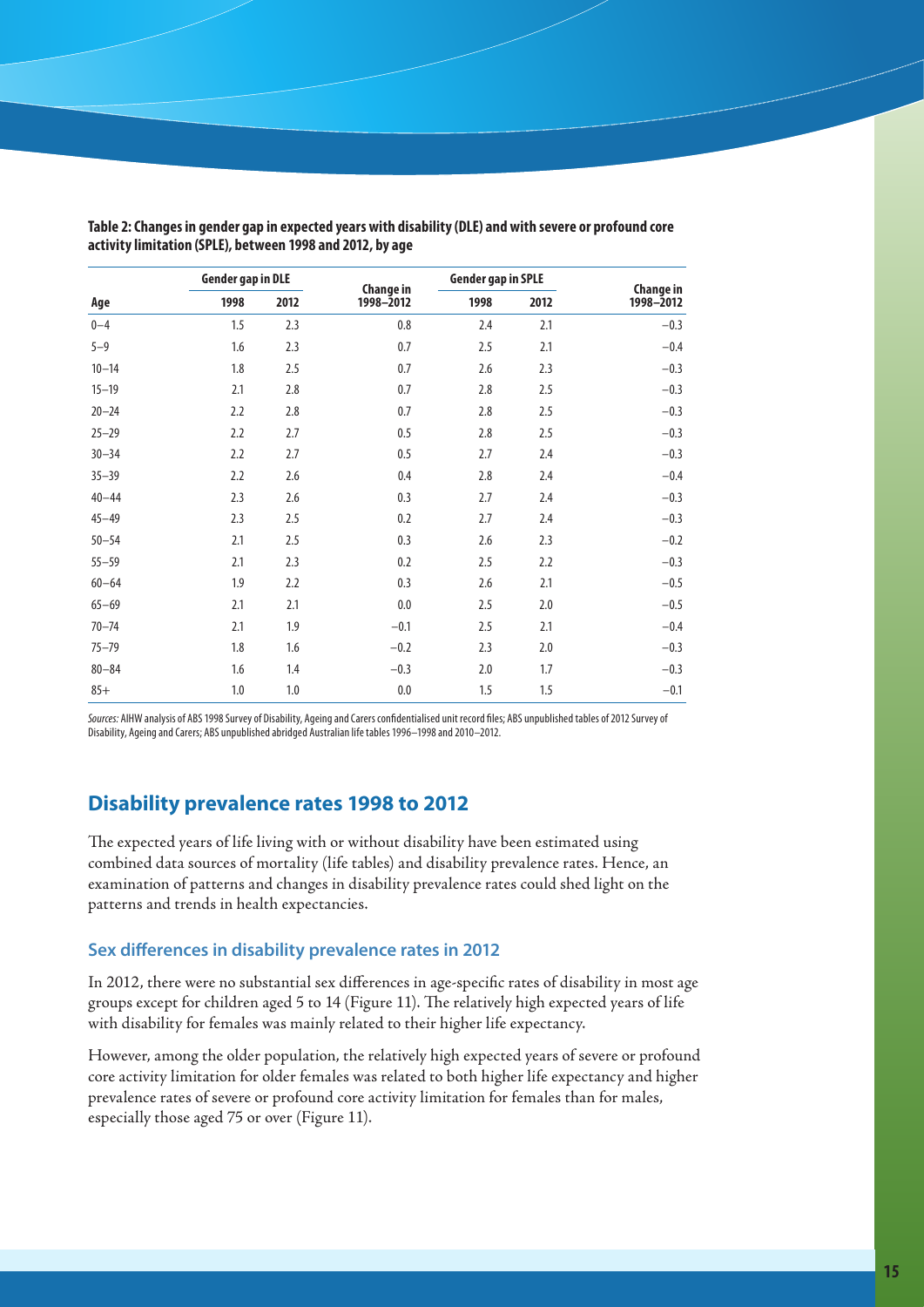|           | <b>Gender gap in DLE</b> |         | <b>Change in</b> | <b>Gender gap in SPLE</b> |      | <b>Change in</b> |
|-----------|--------------------------|---------|------------------|---------------------------|------|------------------|
| Age       | 1998                     | 2012    | 1998-2012        | 1998                      | 2012 | 1998-2012        |
| $0 - 4$   | 1.5                      | 2.3     | 0.8              | 2.4                       | 2.1  | $-0.3$           |
| $5 - 9$   | 1.6                      | 2.3     | 0.7              | 2.5                       | 2.1  | $-0.4$           |
| $10 - 14$ | 1.8                      | 2.5     | 0.7              | 2.6                       | 2.3  | $-0.3$           |
| $15 - 19$ | 2.1                      | 2.8     | 0.7              | 2.8                       | 2.5  | $-0.3$           |
| $20 - 24$ | 2.2                      | 2.8     | 0.7              | 2.8                       | 2.5  | $-0.3$           |
| $25 - 29$ | 2.2                      | 2.7     | 0.5              | 2.8                       | 2.5  | $-0.3$           |
| $30 - 34$ | 2.2                      | 2.7     | 0.5              | 2.7                       | 2.4  | $-0.3$           |
| $35 - 39$ | 2.2                      | 2.6     | 0.4              | 2.8                       | 2.4  | $-0.4$           |
| $40 - 44$ | 2.3                      | 2.6     | 0.3              | 2.7                       | 2.4  | $-0.3$           |
| $45 - 49$ | 2.3                      | 2.5     | 0.2              | 2.7                       | 2.4  | $-0.3$           |
| $50 - 54$ | 2.1                      | 2.5     | 0.3              | 2.6                       | 2.3  | $-0.2$           |
| $55 - 59$ | 2.1                      | 2.3     | 0.2              | 2.5                       | 2.2  | $-0.3$           |
| $60 - 64$ | 1.9                      | 2.2     | 0.3              | 2.6                       | 2.1  | $-0.5$           |
| $65 - 69$ | 2.1                      | 2.1     | 0.0              | 2.5                       | 2.0  | $-0.5$           |
| $70 - 74$ | 2.1                      | 1.9     | $-0.1$           | 2.5                       | 2.1  | $-0.4$           |
| $75 - 79$ | 1.8                      | 1.6     | $-0.2$           | 2.3                       | 2.0  | $-0.3$           |
| $80 - 84$ | 1.6                      | 1.4     | $-0.3$           | 2.0                       | 1.7  | $-0.3$           |
| $85+$     | $1.0\,$                  | $1.0\,$ | 0.0              | 1.5                       | 1.5  | $-0.1$           |

**Table 2: Changes in gender gap in expected years with disability (DLE) and with severe or profound core activity limitation (SPLE), between 1998 and 2012, by age**

*Sources:* AIHW analysis of ABS 1998 Survey of Disability, Ageing and Carers confidentialised unit record files; ABS unpublished tables of 2012 Survey of Disability, Ageing and Carers; ABS unpublished abridged Australian life tables 1996–1998 and 2010–2012.

# **Disability prevalence rates 1998 to 2012**

The expected years of life living with or without disability have been estimated using combined data sources of mortality (life tables) and disability prevalence rates. Hence, an examination of patterns and changes in disability prevalence rates could shed light on the patterns and trends in health expectancies.

## **Sex differences in disability prevalence rates in 2012**

In 2012, there were no substantial sex differences in age-specific rates of disability in most age groups except for children aged 5 to 14 (Figure 11). The relatively high expected years of life with disability for females was mainly related to their higher life expectancy.

However, among the older population, the relatively high expected years of severe or profound core activity limitation for older females was related to both higher life expectancy and higher prevalence rates of severe or profound core activity limitation for females than for males, especially those aged 75 or over (Figure 11).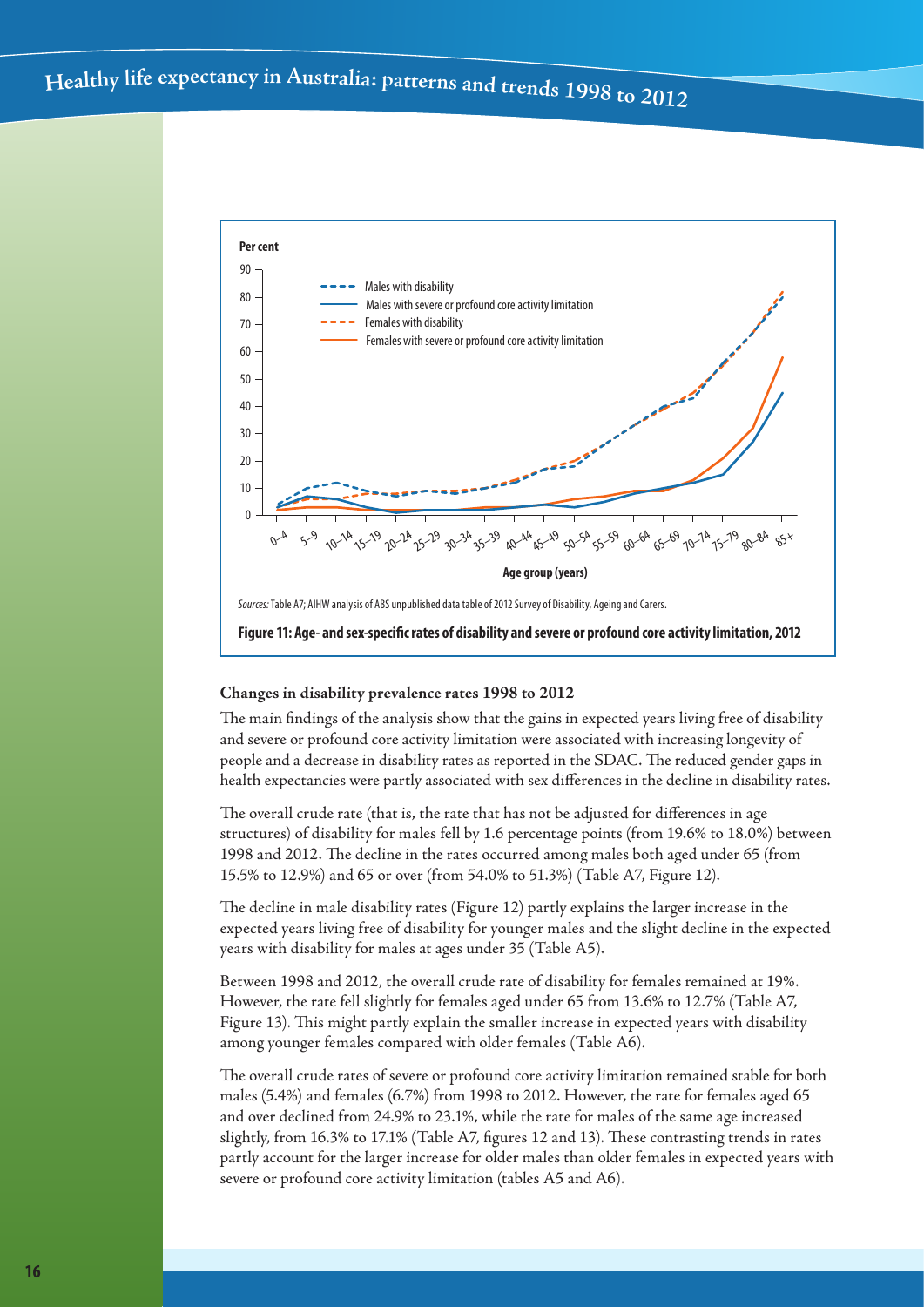

#### **Changes in disability prevalence rates 1998 to 2012**

The main findings of the analysis show that the gains in expected years living free of disability and severe or profound core activity limitation were associated with increasing longevity of people and a decrease in disability rates as reported in the SDAC. The reduced gender gaps in health expectancies were partly associated with sex differences in the decline in disability rates.

The overall crude rate (that is, the rate that has not be adjusted for differences in age structures) of disability for males fell by 1.6 percentage points (from 19.6% to 18.0%) between 1998 and 2012. The decline in the rates occurred among males both aged under 65 (from 15.5% to 12.9%) and 65 or over (from 54.0% to 51.3%) (Table A7, Figure 12).

The decline in male disability rates (Figure 12) partly explains the larger increase in the expected years living free of disability for younger males and the slight decline in the expected years with disability for males at ages under 35 (Table A5).

Between 1998 and 2012, the overall crude rate of disability for females remained at 19%. However, the rate fell slightly for females aged under 65 from 13.6% to 12.7% (Table A7, Figure 13). This might partly explain the smaller increase in expected years with disability among younger females compared with older females (Table A6).

The overall crude rates of severe or profound core activity limitation remained stable for both males (5.4%) and females (6.7%) from 1998 to 2012. However, the rate for females aged 65 and over declined from 24.9% to 23.1%, while the rate for males of the same age increased slightly, from 16.3% to 17.1% (Table A7, figures 12 and 13). These contrasting trends in rates partly account for the larger increase for older males than older females in expected years with severe or profound core activity limitation (tables A5 and A6).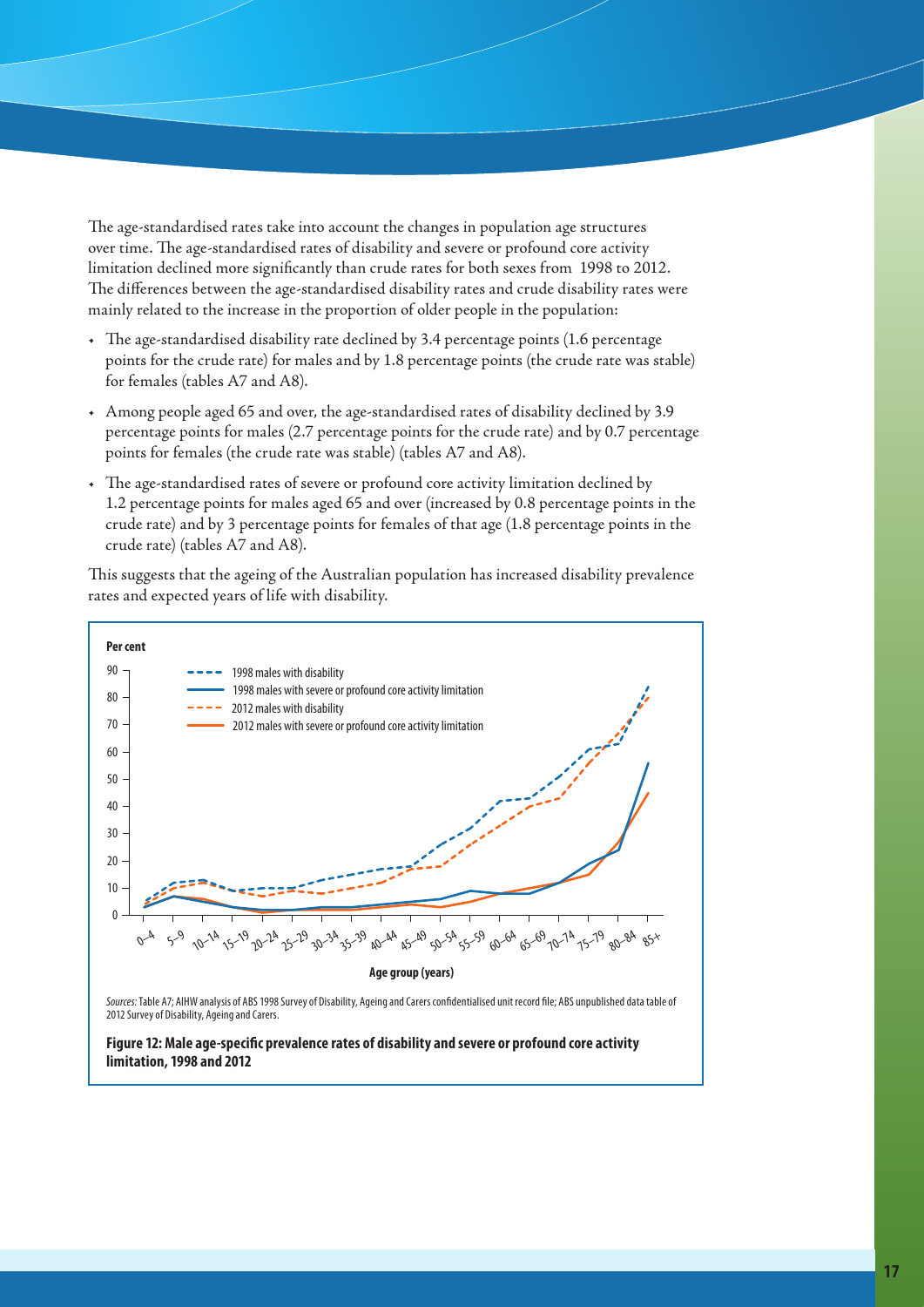The age-standardised rates take into account the changes in population age structures over time. The age-standardised rates of disability and severe or profound core activity limitation declined more significantly than crude rates for both sexes from 1998 to 2012. The differences between the age-standardised disability rates and crude disability rates were mainly related to the increase in the proportion of older people in the population:

- • The age-standardised disability rate declined by 3.4 percentage points (1.6 percentage points for the crude rate) for males and by 1.8 percentage points (the crude rate was stable) for females (tables A7 and A8).
- • Among people aged 65 and over, the age-standardised rates of disability declined by 3.9 percentage points for males (2.7 percentage points for the crude rate) and by 0.7 percentage points for females (the crude rate was stable) (tables A7 and A8).
- • The age-standardised rates of severe or profound core activity limitation declined by 1.2 percentage points for males aged 65 and over (increased by 0.8 percentage points in the crude rate) and by 3 percentage points for females of that age (1.8 percentage points in the crude rate) (tables A7 and A8).

This suggests that the ageing of the Australian population has increased disability prevalence rates and expected years of life with disability.



2012 Survey of Disability, Ageing and Carers.

**Figure 12: Male age-specific prevalence rates of disability and severe or profound core activity limitation, 1998 and 2012**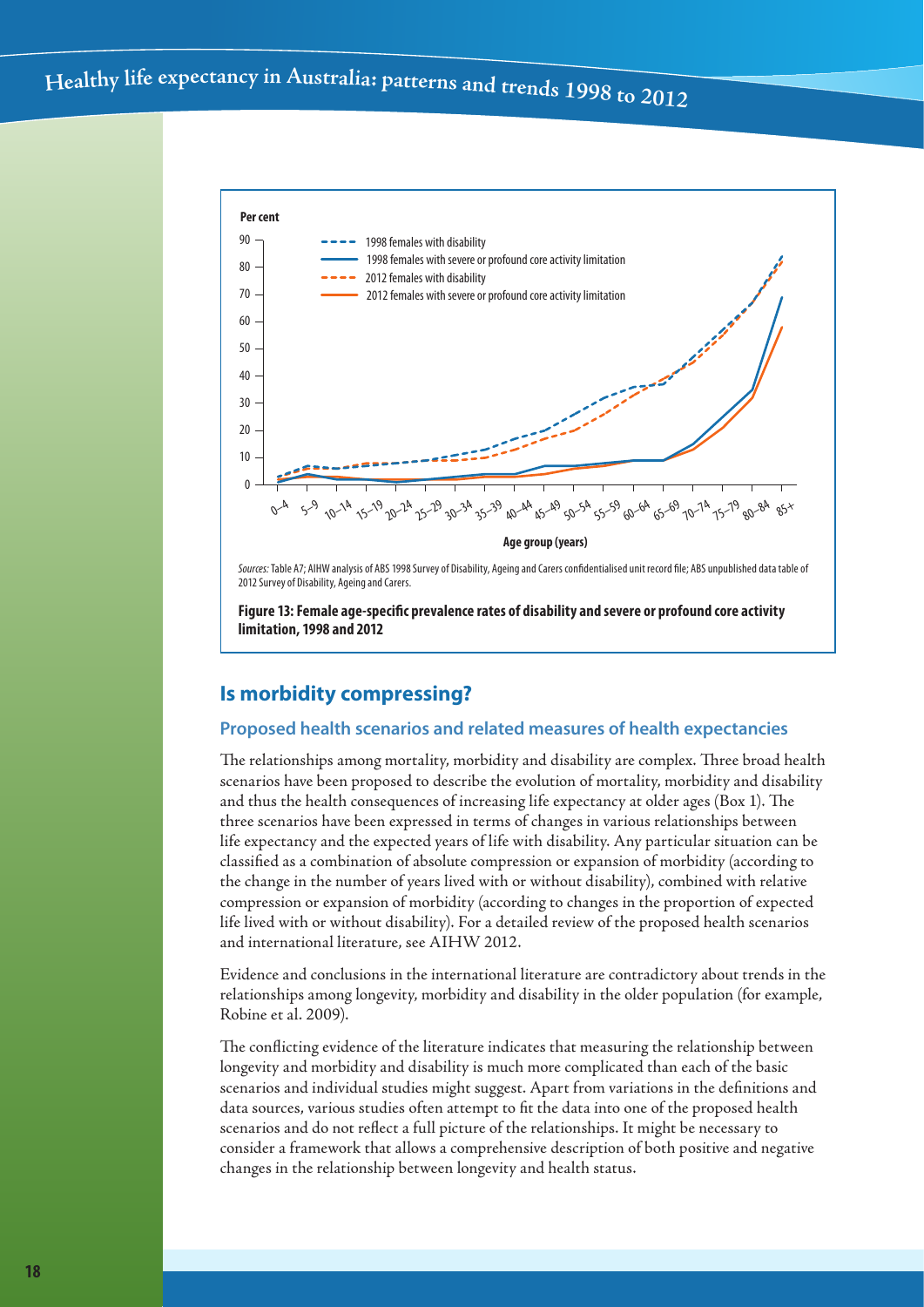

*Sources:* Table A7; AIHW analysis of ABS 1998 Survey of Disability, Ageing and Carers confidentialised unit record file; ABS unpublished data table of 2012 Survey of Disability, Ageing and Carers.

**Figure 13: Female age-specific prevalence rates of disability and severe or profound core activity limitation, 1998 and 2012**

# **Is morbidity compressing?**

## **Proposed health scenarios and related measures of health expectancies**

The relationships among mortality, morbidity and disability are complex. Three broad health scenarios have been proposed to describe the evolution of mortality, morbidity and disability and thus the health consequences of increasing life expectancy at older ages (Box 1). The three scenarios have been expressed in terms of changes in various relationships between life expectancy and the expected years of life with disability. Any particular situation can be classified as a combination of absolute compression or expansion of morbidity (according to the change in the number of years lived with or without disability), combined with relative compression or expansion of morbidity (according to changes in the proportion of expected life lived with or without disability). For a detailed review of the proposed health scenarios and international literature, see AIHW 2012.

Evidence and conclusions in the international literature are contradictory about trends in the relationships among longevity, morbidity and disability in the older population (for example, Robine et al. 2009).

The conflicting evidence of the literature indicates that measuring the relationship between longevity and morbidity and disability is much more complicated than each of the basic scenarios and individual studies might suggest. Apart from variations in the definitions and data sources, various studies often attempt to fit the data into one of the proposed health scenarios and do not reflect a full picture of the relationships. It might be necessary to consider a framework that allows a comprehensive description of both positive and negative changes in the relationship between longevity and health status.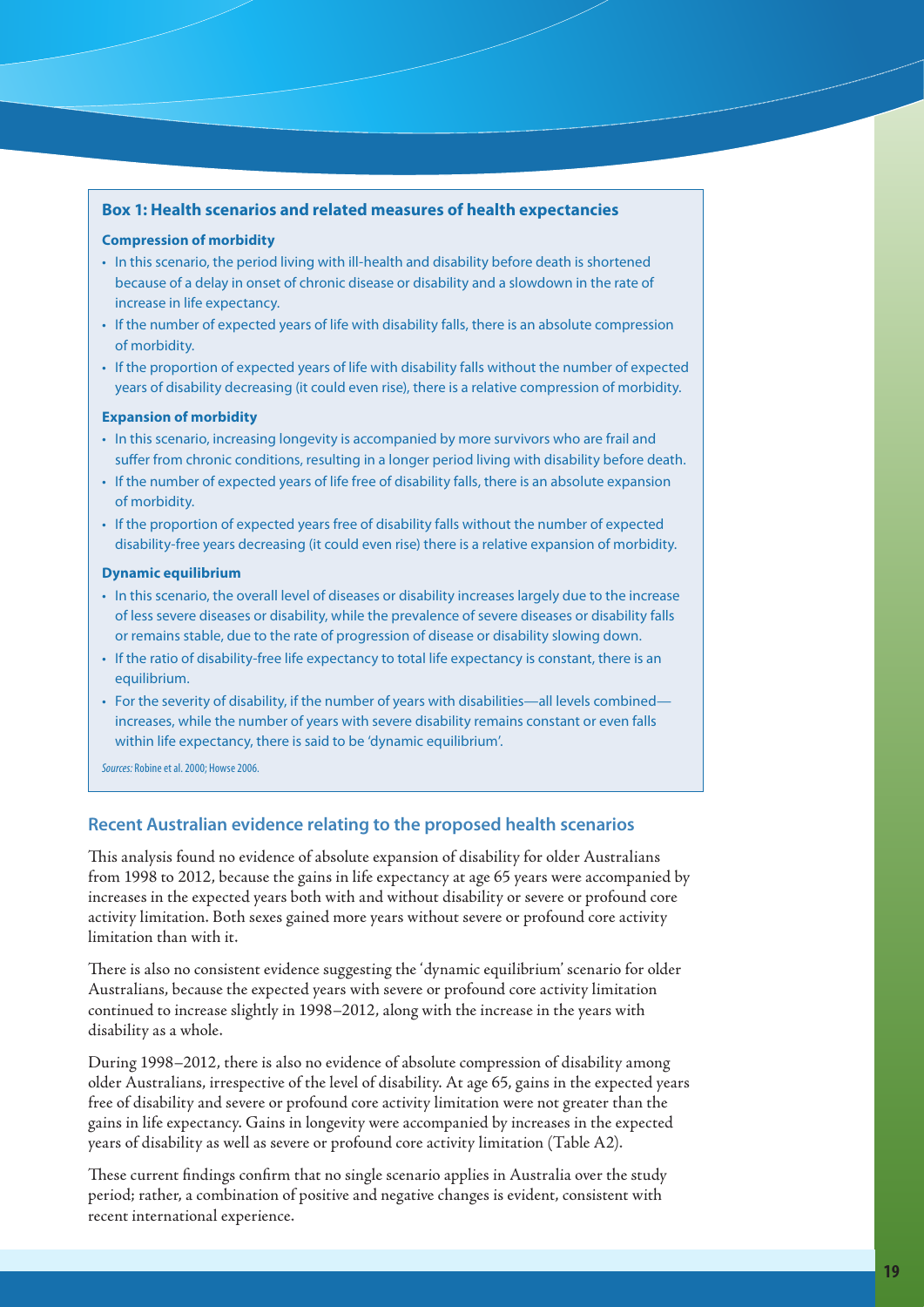#### **Box 1: Health scenarios and related measures of health expectancies**

#### **Compression of morbidity**

- In this scenario, the period living with ill-health and disability before death is shortened because of a delay in onset of chronic disease or disability and a slowdown in the rate of increase in life expectancy.
- • If the number of expected years of life with disability falls, there is an absolute compression of morbidity.
- • If the proportion of expected years of life with disability falls without the number of expected years of disability decreasing (it could even rise), there is a relative compression of morbidity.

#### **Expansion of morbidity**

- • In this scenario, increasing longevity is accompanied by more survivors who are frail and suffer from chronic conditions, resulting in a longer period living with disability before death.
- If the number of expected years of life free of disability falls, there is an absolute expansion of morbidity.
- If the proportion of expected years free of disability falls without the number of expected disability-free years decreasing (it could even rise) there is a relative expansion of morbidity.

#### **Dynamic equilibrium**

- • In this scenario, the overall level of diseases or disability increases largely due to the increase of less severe diseases or disability, while the prevalence of severe diseases or disability falls or remains stable, due to the rate of progression of disease or disability slowing down.
- If the ratio of disability-free life expectancy to total life expectancy is constant, there is an equilibrium.
- For the severity of disability, if the number of years with disabilities—all levels combined increases, while the number of years with severe disability remains constant or even falls within life expectancy, there is said to be 'dynamic equilibrium'.

*Sources:* Robine et al. 2000; Howse 2006.

## **Recent Australian evidence relating to the proposed health scenarios**

This analysis found no evidence of absolute expansion of disability for older Australians from 1998 to 2012, because the gains in life expectancy at age 65 years were accompanied by increases in the expected years both with and without disability or severe or profound core activity limitation. Both sexes gained more years without severe or profound core activity limitation than with it.

There is also no consistent evidence suggesting the 'dynamic equilibrium' scenario for older Australians, because the expected years with severe or profound core activity limitation continued to increase slightly in 1998–2012, along with the increase in the years with disability as a whole.

During 1998–2012, there is also no evidence of absolute compression of disability among older Australians, irrespective of the level of disability. At age 65, gains in the expected years free of disability and severe or profound core activity limitation were not greater than the gains in life expectancy. Gains in longevity were accompanied by increases in the expected years of disability as well as severe or profound core activity limitation (Table A2).

These current findings confirm that no single scenario applies in Australia over the study period; rather, a combination of positive and negative changes is evident, consistent with recent international experience.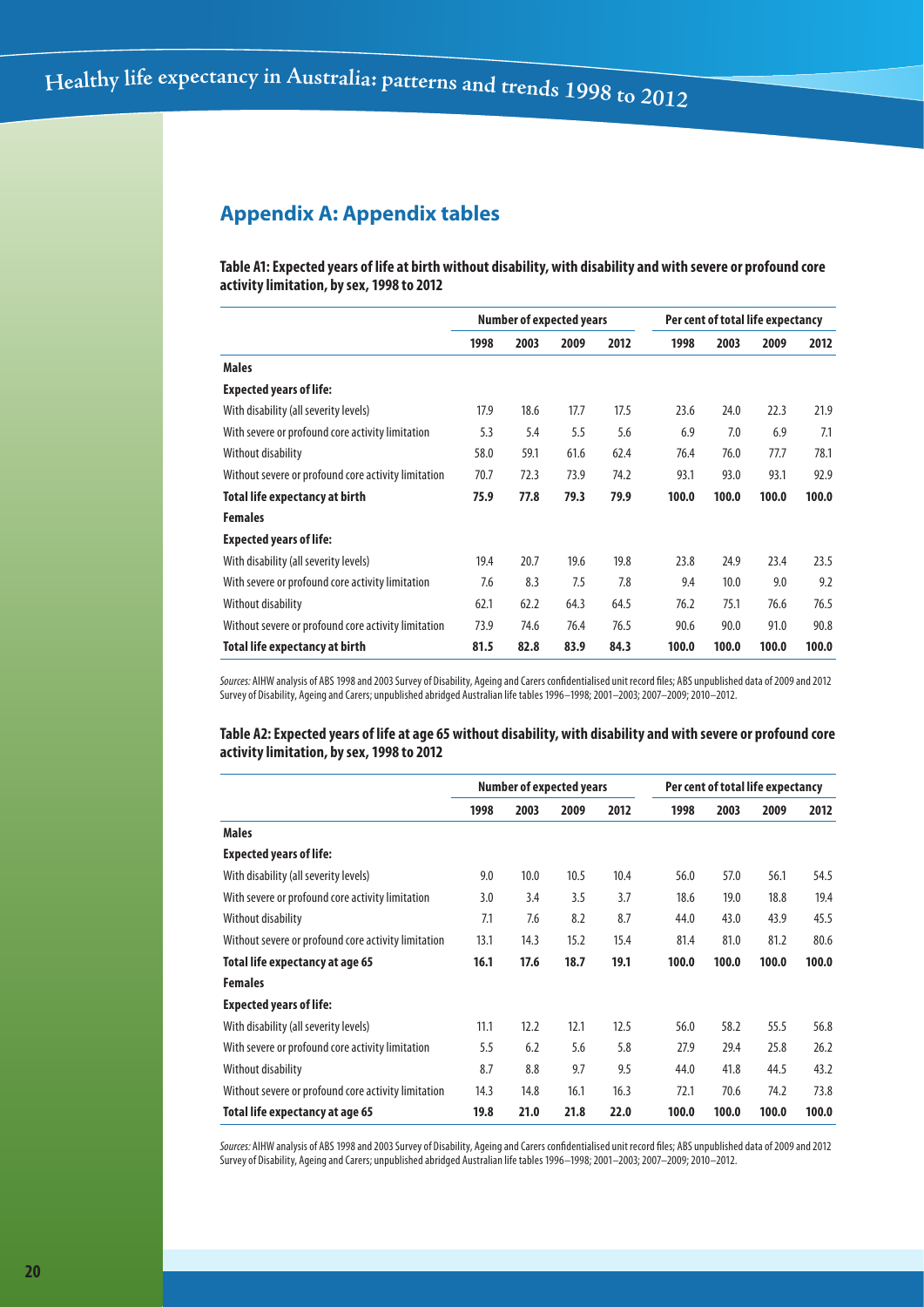# **Appendix A: Appendix tables**

**Table A1: Expected years of life at birth without disability, with disability and with severe or profound core activity limitation, by sex, 1998 to 2012**

|                                                     | <b>Number of expected years</b> |      |      |      | Per cent of total life expectancy |       |       |       |
|-----------------------------------------------------|---------------------------------|------|------|------|-----------------------------------|-------|-------|-------|
|                                                     | 1998                            | 2003 | 2009 | 2012 | 1998                              | 2003  | 2009  | 2012  |
| <b>Males</b>                                        |                                 |      |      |      |                                   |       |       |       |
| <b>Expected years of life:</b>                      |                                 |      |      |      |                                   |       |       |       |
| With disability (all severity levels)               | 17.9                            | 18.6 | 17.7 | 17.5 | 23.6                              | 24.0  | 22.3  | 21.9  |
| With severe or profound core activity limitation    | 5.3                             | 5.4  | 5.5  | 5.6  | 6.9                               | 7.0   | 6.9   | 7.1   |
| Without disability                                  | 58.0                            | 59.1 | 61.6 | 62.4 | 76.4                              | 76.0  | 77.7  | 78.1  |
| Without severe or profound core activity limitation | 70.7                            | 72.3 | 73.9 | 74.2 | 93.1                              | 93.0  | 93.1  | 92.9  |
| <b>Total life expectancy at birth</b>               | 75.9                            | 77.8 | 79.3 | 79.9 | 100.0                             | 100.0 | 100.0 | 100.0 |
| <b>Females</b>                                      |                                 |      |      |      |                                   |       |       |       |
| <b>Expected years of life:</b>                      |                                 |      |      |      |                                   |       |       |       |
| With disability (all severity levels)               | 19.4                            | 20.7 | 19.6 | 19.8 | 23.8                              | 24.9  | 23.4  | 23.5  |
| With severe or profound core activity limitation    | 7.6                             | 8.3  | 7.5  | 7.8  | 9.4                               | 10.0  | 9.0   | 9.2   |
| Without disability                                  | 62.1                            | 62.2 | 64.3 | 64.5 | 76.2                              | 75.1  | 76.6  | 76.5  |
| Without severe or profound core activity limitation | 73.9                            | 74.6 | 76.4 | 76.5 | 90.6                              | 90.0  | 91.0  | 90.8  |
| Total life expectancy at birth                      | 81.5                            | 82.8 | 83.9 | 84.3 | 100.0                             | 100.0 | 100.0 | 100.0 |

Sources: AIHW analysis of ABS 1998 and 2003 Survey of Disability, Ageing and Carers confidentialised unit record files; ABS unpublished data of 2009 and 2012 Survey of Disability, Ageing and Carers; unpublished abridged Australian life tables 1996–1998; 2001–2003; 2007–2009; 2010–2012.

**Table A2: Expected years of life at age 65 without disability, with disability and with severe or profound core activity limitation, by sex, 1998 to 2012**

|                                                     | <b>Number of expected years</b> |      |      |      | Per cent of total life expectancy |       |       |       |
|-----------------------------------------------------|---------------------------------|------|------|------|-----------------------------------|-------|-------|-------|
|                                                     | 1998                            | 2003 | 2009 | 2012 | 1998                              | 2003  | 2009  | 2012  |
| <b>Males</b>                                        |                                 |      |      |      |                                   |       |       |       |
| <b>Expected years of life:</b>                      |                                 |      |      |      |                                   |       |       |       |
| With disability (all severity levels)               | 9.0                             | 10.0 | 10.5 | 10.4 | 56.0                              | 57.0  | 56.1  | 54.5  |
| With severe or profound core activity limitation    | 3.0                             | 3.4  | 3.5  | 3.7  | 18.6                              | 19.0  | 18.8  | 19.4  |
| Without disability                                  | 7.1                             | 7.6  | 8.2  | 8.7  | 44.0                              | 43.0  | 43.9  | 45.5  |
| Without severe or profound core activity limitation | 13.1                            | 14.3 | 15.2 | 15.4 | 81.4                              | 81.0  | 81.2  | 80.6  |
| Total life expectancy at age 65                     | 16.1                            | 17.6 | 18.7 | 19.1 | 100.0                             | 100.0 | 100.0 | 100.0 |
| <b>Females</b>                                      |                                 |      |      |      |                                   |       |       |       |
| <b>Expected years of life:</b>                      |                                 |      |      |      |                                   |       |       |       |
| With disability (all severity levels)               | 11.1                            | 12.2 | 12.1 | 12.5 | 56.0                              | 58.2  | 55.5  | 56.8  |
| With severe or profound core activity limitation    | 5.5                             | 6.2  | 5.6  | 5.8  | 27.9                              | 29.4  | 25.8  | 26.2  |
| Without disability                                  | 8.7                             | 8.8  | 9.7  | 9.5  | 44.0                              | 41.8  | 44.5  | 43.2  |
| Without severe or profound core activity limitation | 14.3                            | 14.8 | 16.1 | 16.3 | 72.1                              | 70.6  | 74.2  | 73.8  |
| Total life expectancy at age 65                     | 19.8                            | 21.0 | 21.8 | 22.0 | 100.0                             | 100.0 | 100.0 | 100.0 |

*Sources:* AIHW analysis of ABS 1998 and 2003 Survey of Disability, Ageing and Carers confidentialised unit record files; ABS unpublished data of 2009 and 2012 Survey of Disability, Ageing and Carers; unpublished abridged Australian life tables 1996–1998; 2001–2003; 2007–2009; 2010–2012.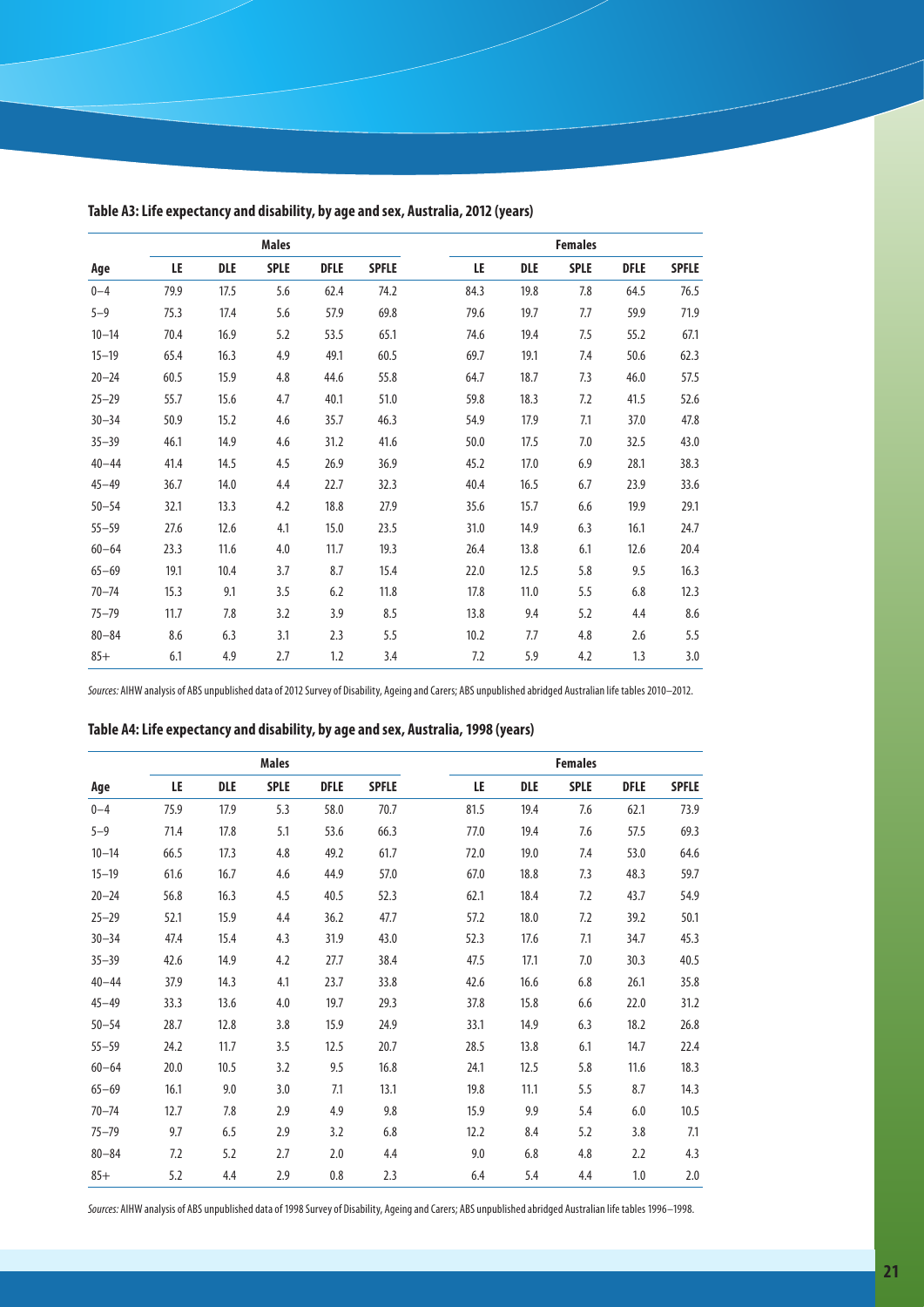|           |      |      | <b>Males</b> |      |              |      |      | <b>Females</b> |             |              |
|-----------|------|------|--------------|------|--------------|------|------|----------------|-------------|--------------|
| Age       | LE   | DLE  | <b>SPLE</b>  | DFLE | <b>SPFLE</b> | LE   | DLE  | <b>SPLE</b>    | <b>DFLE</b> | <b>SPFLE</b> |
| $0 - 4$   | 79.9 | 17.5 | 5.6          | 62.4 | 74.2         | 84.3 | 19.8 | 7.8            | 64.5        | 76.5         |
| $5 - 9$   | 75.3 | 17.4 | 5.6          | 57.9 | 69.8         | 79.6 | 19.7 | 7.7            | 59.9        | 71.9         |
| $10 - 14$ | 70.4 | 16.9 | 5.2          | 53.5 | 65.1         | 74.6 | 19.4 | 7.5            | 55.2        | 67.1         |
| $15 - 19$ | 65.4 | 16.3 | 4.9          | 49.1 | 60.5         | 69.7 | 19.1 | 7.4            | 50.6        | 62.3         |
| $20 - 24$ | 60.5 | 15.9 | 4.8          | 44.6 | 55.8         | 64.7 | 18.7 | 7.3            | 46.0        | 57.5         |
| $25 - 29$ | 55.7 | 15.6 | 4.7          | 40.1 | 51.0         | 59.8 | 18.3 | 7.2            | 41.5        | 52.6         |
| $30 - 34$ | 50.9 | 15.2 | 4.6          | 35.7 | 46.3         | 54.9 | 17.9 | 7.1            | 37.0        | 47.8         |
| $35 - 39$ | 46.1 | 14.9 | 4.6          | 31.2 | 41.6         | 50.0 | 17.5 | 7.0            | 32.5        | 43.0         |
| $40 - 44$ | 41.4 | 14.5 | 4.5          | 26.9 | 36.9         | 45.2 | 17.0 | 6.9            | 28.1        | 38.3         |
| $45 - 49$ | 36.7 | 14.0 | 4.4          | 22.7 | 32.3         | 40.4 | 16.5 | 6.7            | 23.9        | 33.6         |
| $50 - 54$ | 32.1 | 13.3 | 4.2          | 18.8 | 27.9         | 35.6 | 15.7 | 6.6            | 19.9        | 29.1         |
| $55 - 59$ | 27.6 | 12.6 | 4.1          | 15.0 | 23.5         | 31.0 | 14.9 | 6.3            | 16.1        | 24.7         |
| $60 - 64$ | 23.3 | 11.6 | 4.0          | 11.7 | 19.3         | 26.4 | 13.8 | 6.1            | 12.6        | 20.4         |
| $65 - 69$ | 19.1 | 10.4 | 3.7          | 8.7  | 15.4         | 22.0 | 12.5 | 5.8            | 9.5         | 16.3         |
| $70 - 74$ | 15.3 | 9.1  | 3.5          | 6.2  | 11.8         | 17.8 | 11.0 | 5.5            | 6.8         | 12.3         |
| $75 - 79$ | 11.7 | 7.8  | 3.2          | 3.9  | 8.5          | 13.8 | 9.4  | 5.2            | 4.4         | 8.6          |
| $80 - 84$ | 8.6  | 6.3  | 3.1          | 2.3  | 5.5          | 10.2 | 7.7  | 4.8            | 2.6         | 5.5          |
| $85+$     | 6.1  | 4.9  | 2.7          | 1.2  | 3.4          | 7.2  | 5.9  | 4.2            | 1.3         | 3.0          |

**Table A3: Life expectancy and disability, by age and sex, Australia, 2012 (years)**

*Sources:* AIHW analysis of ABS unpublished data of 2012 Survey of Disability, Ageing and Carers; ABS unpublished abridged Australian life tables 2010–2012.

| Table A4: Life expectancy and disability, by age and sex, Australia, 1998 (years) |  |  |
|-----------------------------------------------------------------------------------|--|--|
|-----------------------------------------------------------------------------------|--|--|

|           |      |            | <b>Males</b> |             |              |      |            | <b>Females</b> |             |              |
|-----------|------|------------|--------------|-------------|--------------|------|------------|----------------|-------------|--------------|
| Age       | LE   | <b>DLE</b> | <b>SPLE</b>  | <b>DFLE</b> | <b>SPFLE</b> | LE   | <b>DLE</b> | <b>SPLE</b>    | <b>DFLE</b> | <b>SPFLE</b> |
| $0 - 4$   | 75.9 | 17.9       | 5.3          | 58.0        | 70.7         | 81.5 | 19.4       | 7.6            | 62.1        | 73.9         |
| $5 - 9$   | 71.4 | 17.8       | 5.1          | 53.6        | 66.3         | 77.0 | 19.4       | 7.6            | 57.5        | 69.3         |
| $10 - 14$ | 66.5 | 17.3       | 4.8          | 49.2        | 61.7         | 72.0 | 19.0       | 7.4            | 53.0        | 64.6         |
| $15 - 19$ | 61.6 | 16.7       | 4.6          | 44.9        | 57.0         | 67.0 | 18.8       | 7.3            | 48.3        | 59.7         |
| $20 - 24$ | 56.8 | 16.3       | 4.5          | 40.5        | 52.3         | 62.1 | 18.4       | 7.2            | 43.7        | 54.9         |
| $25 - 29$ | 52.1 | 15.9       | 4.4          | 36.2        | 47.7         | 57.2 | 18.0       | 7.2            | 39.2        | 50.1         |
| $30 - 34$ | 47.4 | 15.4       | 4.3          | 31.9        | 43.0         | 52.3 | 17.6       | 7.1            | 34.7        | 45.3         |
| $35 - 39$ | 42.6 | 14.9       | 4.2          | 27.7        | 38.4         | 47.5 | 17.1       | 7.0            | 30.3        | 40.5         |
| $40 - 44$ | 37.9 | 14.3       | 4.1          | 23.7        | 33.8         | 42.6 | 16.6       | 6.8            | 26.1        | 35.8         |
| $45 - 49$ | 33.3 | 13.6       | 4.0          | 19.7        | 29.3         | 37.8 | 15.8       | 6.6            | 22.0        | 31.2         |
| $50 - 54$ | 28.7 | 12.8       | 3.8          | 15.9        | 24.9         | 33.1 | 14.9       | 6.3            | 18.2        | 26.8         |
| $55 - 59$ | 24.2 | 11.7       | 3.5          | 12.5        | 20.7         | 28.5 | 13.8       | 6.1            | 14.7        | 22.4         |
| $60 - 64$ | 20.0 | 10.5       | 3.2          | 9.5         | 16.8         | 24.1 | 12.5       | 5.8            | 11.6        | 18.3         |
| $65 - 69$ | 16.1 | 9.0        | 3.0          | 7.1         | 13.1         | 19.8 | 11.1       | 5.5            | 8.7         | 14.3         |
| $70 - 74$ | 12.7 | 7.8        | 2.9          | 4.9         | 9.8          | 15.9 | 9.9        | 5.4            | 6.0         | 10.5         |
| $75 - 79$ | 9.7  | 6.5        | 2.9          | 3.2         | 6.8          | 12.2 | 8.4        | 5.2            | 3.8         | 7.1          |
| $80 - 84$ | 7.2  | 5.2        | 2.7          | 2.0         | 4.4          | 9.0  | 6.8        | 4.8            | 2.2         | 4.3          |
| $85+$     | 5.2  | 4.4        | 2.9          | 0.8         | 2.3          | 6.4  | 5.4        | 4.4            | 1.0         | 2.0          |

*Sources:* AIHW analysis of ABS unpublished data of 1998 Survey of Disability, Ageing and Carers; ABS unpublished abridged Australian life tables 1996–1998.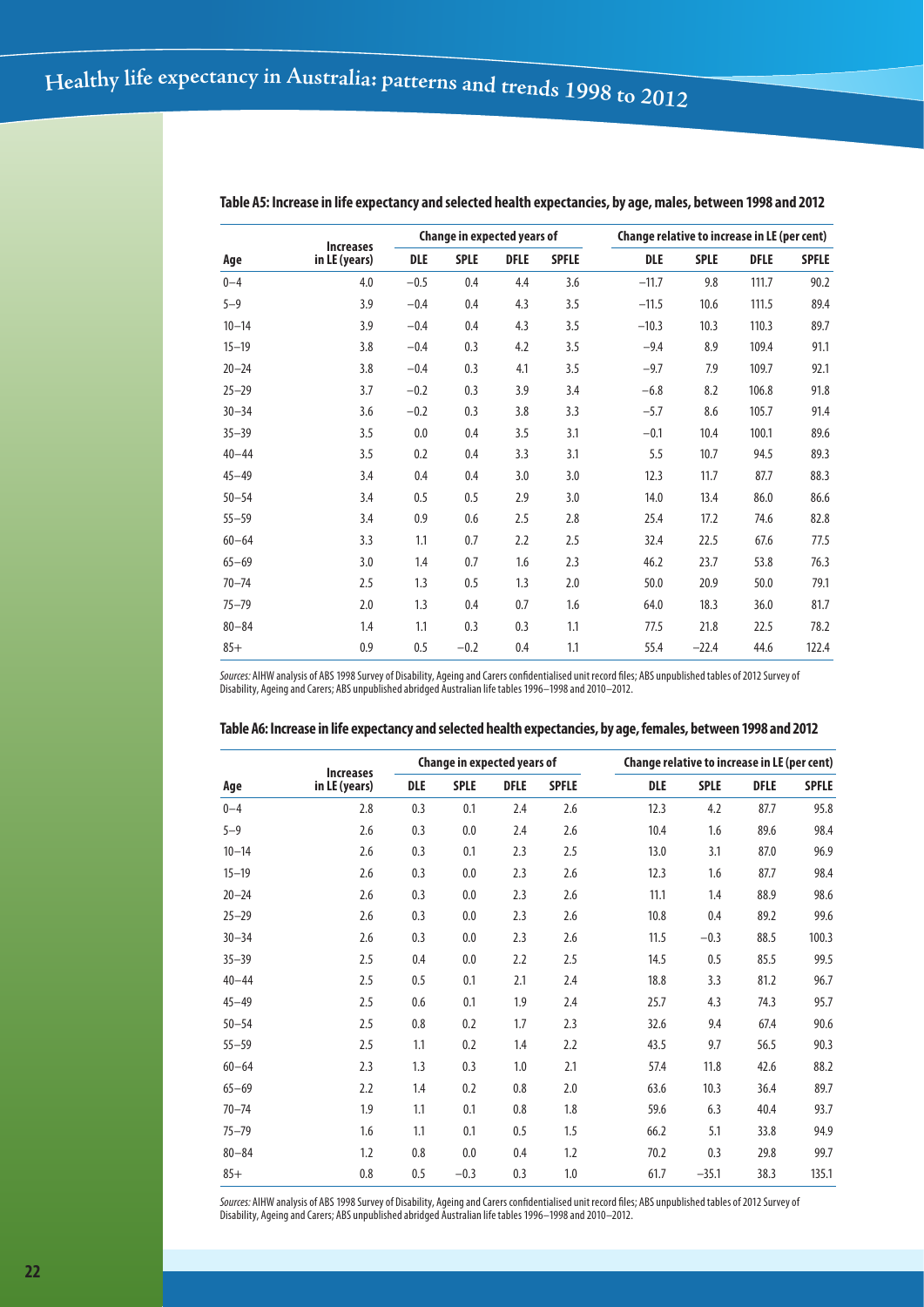|           |                                   |            | Change in expected years of |             |              | Change relative to increase in LE (per cent) |             |             |              |
|-----------|-----------------------------------|------------|-----------------------------|-------------|--------------|----------------------------------------------|-------------|-------------|--------------|
| Age       | <b>Increases</b><br>in LE (years) | <b>DLE</b> | <b>SPLE</b>                 | <b>DFLE</b> | <b>SPFLE</b> | <b>DLE</b>                                   | <b>SPLE</b> | <b>DFLE</b> | <b>SPFLE</b> |
| $0 - 4$   | 4.0                               | $-0.5$     | 0.4                         | 4.4         | 3.6          | $-11.7$                                      | 9.8         | 111.7       | 90.2         |
| $5 - 9$   | 3.9                               | $-0.4$     | 0.4                         | 4.3         | 3.5          | $-11.5$                                      | 10.6        | 111.5       | 89.4         |
| $10 - 14$ | 3.9                               | $-0.4$     | 0.4                         | 4.3         | 3.5          | $-10.3$                                      | 10.3        | 110.3       | 89.7         |
| $15 - 19$ | 3.8                               | $-0.4$     | 0.3                         | 4.2         | 3.5          | $-9.4$                                       | 8.9         | 109.4       | 91.1         |
| $20 - 24$ | 3.8                               | $-0.4$     | 0.3                         | 4.1         | 3.5          | $-9.7$                                       | 7.9         | 109.7       | 92.1         |
| $25 - 29$ | 3.7                               | $-0.2$     | 0.3                         | 3.9         | 3.4          | $-6.8$                                       | 8.2         | 106.8       | 91.8         |
| $30 - 34$ | 3.6                               | $-0.2$     | 0.3                         | 3.8         | 3.3          | $-5.7$                                       | 8.6         | 105.7       | 91.4         |
| $35 - 39$ | 3.5                               | 0.0        | 0.4                         | 3.5         | 3.1          | $-0.1$                                       | 10.4        | 100.1       | 89.6         |
| $40 - 44$ | 3.5                               | 0.2        | 0.4                         | 3.3         | 3.1          | 5.5                                          | 10.7        | 94.5        | 89.3         |
| $45 - 49$ | 3.4                               | 0.4        | 0.4                         | 3.0         | 3.0          | 12.3                                         | 11.7        | 87.7        | 88.3         |
| $50 - 54$ | 3.4                               | 0.5        | 0.5                         | 2.9         | 3.0          | 14.0                                         | 13.4        | 86.0        | 86.6         |
| $55 - 59$ | 3.4                               | 0.9        | 0.6                         | 2.5         | 2.8          | 25.4                                         | 17.2        | 74.6        | 82.8         |
| $60 - 64$ | 3.3                               | 1.1        | 0.7                         | 2.2         | 2.5          | 32.4                                         | 22.5        | 67.6        | 77.5         |
| $65 - 69$ | 3.0                               | 1.4        | 0.7                         | 1.6         | 2.3          | 46.2                                         | 23.7        | 53.8        | 76.3         |
| $70 - 74$ | 2.5                               | 1.3        | 0.5                         | 1.3         | 2.0          | 50.0                                         | 20.9        | 50.0        | 79.1         |
| $75 - 79$ | 2.0                               | 1.3        | 0.4                         | 0.7         | 1.6          | 64.0                                         | 18.3        | 36.0        | 81.7         |
| $80 - 84$ | 1.4                               | 1.1        | 0.3                         | 0.3         | 1.1          | 77.5                                         | 21.8        | 22.5        | 78.2         |
| $85+$     | 0.9                               | 0.5        | $-0.2$                      | 0.4         | 1.1          | 55.4                                         | $-22.4$     | 44.6        | 122.4        |

**Table A5: Increase in life expectancy and selected health expectancies, by age, males, between 1998 and 2012**

*Sources:* AIHW analysis of ABS 1998 Survey of Disability, Ageing and Carers confidentialised unit record files; ABS unpublished tables of 2012 Survey of Disability, Ageing and Carers; ABS unpublished abridged Australian life tables 1996–1998 and 2010–2012.

|           | <b>Increases</b> |            | <b>Change in expected years of</b> |             |              | Change relative to increase in LE (per cent) |             |             |              |
|-----------|------------------|------------|------------------------------------|-------------|--------------|----------------------------------------------|-------------|-------------|--------------|
| Age       | in LE (years)    | <b>DLE</b> | <b>SPLE</b>                        | <b>DFLE</b> | <b>SPFLE</b> | <b>DLE</b>                                   | <b>SPLE</b> | <b>DFLE</b> | <b>SPFLE</b> |
| $0 - 4$   | 2.8              | 0.3        | 0.1                                | 2.4         | 2.6          | 12.3                                         | 4.2         | 87.7        | 95.8         |
| $5 - 9$   | 2.6              | 0.3        | 0.0                                | 2.4         | 2.6          | 10.4                                         | 1.6         | 89.6        | 98.4         |
| $10 - 14$ | 2.6              | 0.3        | 0.1                                | 2.3         | 2.5          | 13.0                                         | 3.1         | 87.0        | 96.9         |
| $15 - 19$ | 2.6              | 0.3        | 0.0                                | 2.3         | 2.6          | 12.3                                         | 1.6         | 87.7        | 98.4         |
| $20 - 24$ | 2.6              | 0.3        | 0.0                                | 2.3         | 2.6          | 11.1                                         | 1.4         | 88.9        | 98.6         |
| $25 - 29$ | 2.6              | 0.3        | 0.0                                | 2.3         | 2.6          | 10.8                                         | 0.4         | 89.2        | 99.6         |
| $30 - 34$ | 2.6              | 0.3        | 0.0                                | 2.3         | 2.6          | 11.5                                         | $-0.3$      | 88.5        | 100.3        |
| $35 - 39$ | 2.5              | 0.4        | 0.0                                | 2.2         | 2.5          | 14.5                                         | 0.5         | 85.5        | 99.5         |
| $40 - 44$ | 2.5              | 0.5        | 0.1                                | 2.1         | 2.4          | 18.8                                         | 3.3         | 81.2        | 96.7         |
| $45 - 49$ | 2.5              | 0.6        | 0.1                                | 1.9         | 2.4          | 25.7                                         | 4.3         | 74.3        | 95.7         |
| $50 - 54$ | 2.5              | 0.8        | 0.2                                | 1.7         | 2.3          | 32.6                                         | 9.4         | 67.4        | 90.6         |
| $55 - 59$ | 2.5              | 1.1        | 0.2                                | 1.4         | 2.2          | 43.5                                         | 9.7         | 56.5        | 90.3         |
| $60 - 64$ | 2.3              | 1.3        | 0.3                                | 1.0         | 2.1          | 57.4                                         | 11.8        | 42.6        | 88.2         |
| $65 - 69$ | 2.2              | 1.4        | 0.2                                | 0.8         | 2.0          | 63.6                                         | 10.3        | 36.4        | 89.7         |
| $70 - 74$ | 1.9              | 1.1        | 0.1                                | 0.8         | 1.8          | 59.6                                         | 6.3         | 40.4        | 93.7         |
| $75 - 79$ | 1.6              | 1.1        | 0.1                                | 0.5         | 1.5          | 66.2                                         | 5.1         | 33.8        | 94.9         |
| $80 - 84$ | 1.2              | 0.8        | 0.0                                | 0.4         | 1.2          | 70.2                                         | 0.3         | 29.8        | 99.7         |
| $85+$     | 0.8              | 0.5        | $-0.3$                             | 0.3         | 1.0          | 61.7                                         | $-35.1$     | 38.3        | 135.1        |

#### **Table A6: Increase in life expectancy and selected health expectancies, by age, females, between 1998 and 2012**

*Sources:* AIHW analysis of ABS 1998 Survey of Disability, Ageing and Carers confidentialised unit record files; ABS unpublished tables of 2012 Survey of Disability, Ageing and Carers; ABS unpublished abridged Australian life tables 1996–1998 and 2010–2012.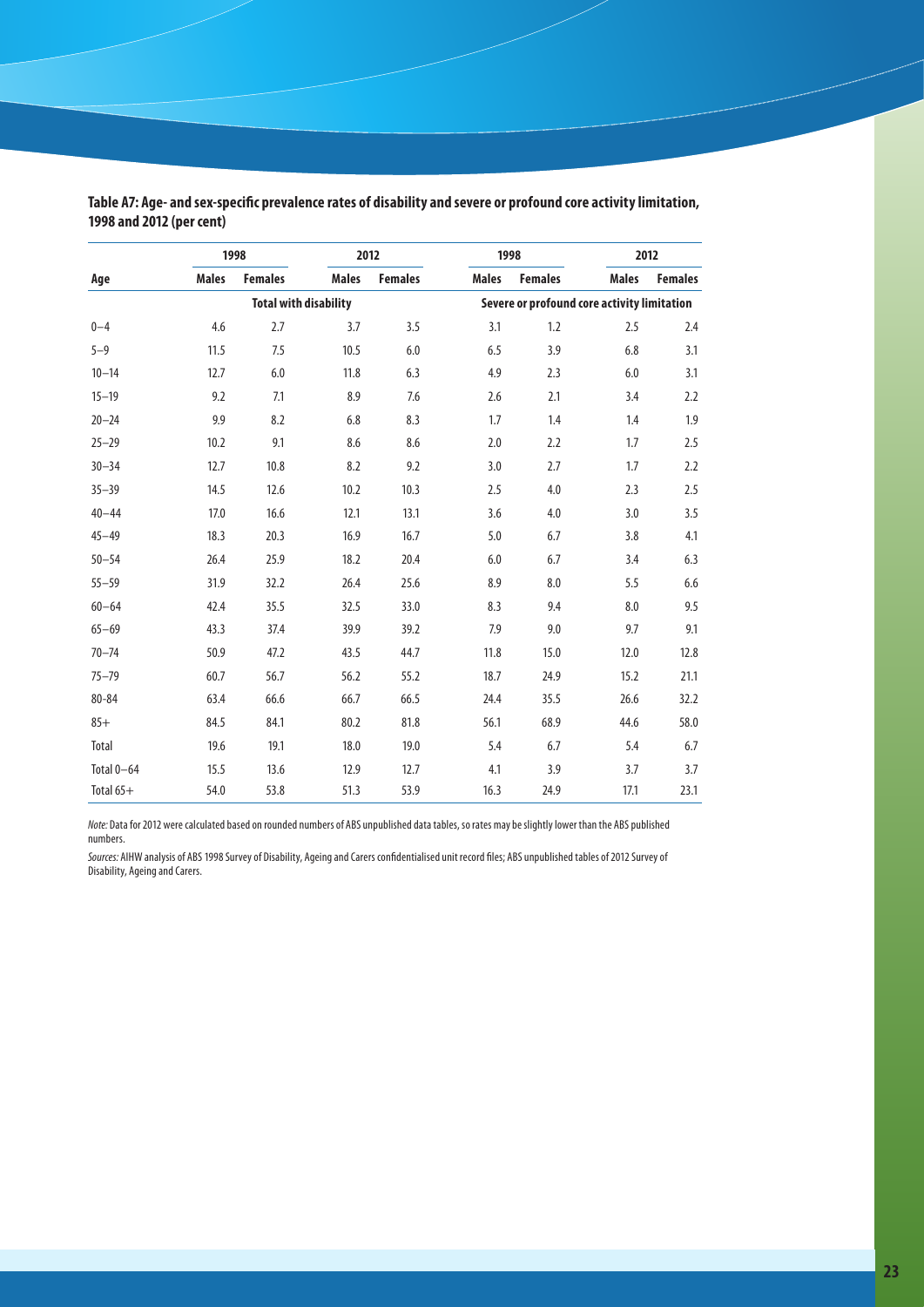|            | 1998         |                              | 2012         |                                             | 1998         |                |              | 2012           |  |  |
|------------|--------------|------------------------------|--------------|---------------------------------------------|--------------|----------------|--------------|----------------|--|--|
| Age        | <b>Males</b> | <b>Females</b>               | <b>Males</b> | <b>Females</b>                              | <b>Males</b> | <b>Females</b> | <b>Males</b> | <b>Females</b> |  |  |
|            |              | <b>Total with disability</b> |              | Severe or profound core activity limitation |              |                |              |                |  |  |
| $0 - 4$    | 4.6          | 2.7                          | 3.7          | 3.5                                         | 3.1          | 1.2            | 2.5          | 2.4            |  |  |
| $5 - 9$    | 11.5         | 7.5                          | 10.5         | 6.0                                         | 6.5          | 3.9            | 6.8          | 3.1            |  |  |
| $10 - 14$  | 12.7         | $6.0$                        | 11.8         | 6.3                                         | 4.9          | 2.3            | $6.0\,$      | 3.1            |  |  |
| $15 - 19$  | 9.2          | 7.1                          | 8.9          | 7.6                                         | 2.6          | 2.1            | 3.4          | 2.2            |  |  |
| $20 - 24$  | 9.9          | 8.2                          | 6.8          | 8.3                                         | 1.7          | 1.4            | 1.4          | 1.9            |  |  |
| $25 - 29$  | 10.2         | 9.1                          | 8.6          | 8.6                                         | 2.0          | 2.2            | 1.7          | 2.5            |  |  |
| $30 - 34$  | 12.7         | 10.8                         | 8.2          | 9.2                                         | 3.0          | 2.7            | 1.7          | 2.2            |  |  |
| $35 - 39$  | 14.5         | 12.6                         | 10.2         | 10.3                                        | 2.5          | 4.0            | 2.3          | 2.5            |  |  |
| $40 - 44$  | 17.0         | 16.6                         | 12.1         | 13.1                                        | 3.6          | 4.0            | 3.0          | 3.5            |  |  |
| $45 - 49$  | 18.3         | 20.3                         | 16.9         | 16.7                                        | 5.0          | 6.7            | 3.8          | 4.1            |  |  |
| $50 - 54$  | 26.4         | 25.9                         | 18.2         | 20.4                                        | 6.0          | 6.7            | 3.4          | 6.3            |  |  |
| $55 - 59$  | 31.9         | 32.2                         | 26.4         | 25.6                                        | 8.9          | 8.0            | 5.5          | 6.6            |  |  |
| $60 - 64$  | 42.4         | 35.5                         | 32.5         | 33.0                                        | 8.3          | 9.4            | 8.0          | 9.5            |  |  |
| $65 - 69$  | 43.3         | 37.4                         | 39.9         | 39.2                                        | 7.9          | 9.0            | 9.7          | 9.1            |  |  |
| $70 - 74$  | 50.9         | 47.2                         | 43.5         | 44.7                                        | 11.8         | 15.0           | 12.0         | 12.8           |  |  |
| $75 - 79$  | 60.7         | 56.7                         | 56.2         | 55.2                                        | 18.7         | 24.9           | 15.2         | 21.1           |  |  |
| 80-84      | 63.4         | 66.6                         | 66.7         | 66.5                                        | 24.4         | 35.5           | 26.6         | 32.2           |  |  |
| $85+$      | 84.5         | 84.1                         | 80.2         | 81.8                                        | 56.1         | 68.9           | 44.6         | 58.0           |  |  |
| Total      | 19.6         | 19.1                         | 18.0         | 19.0                                        | 5.4          | 6.7            | 5.4          | 6.7            |  |  |
| Total 0-64 | 15.5         | 13.6                         | 12.9         | 12.7                                        | 4.1          | 3.9            | 3.7          | 3.7            |  |  |
| Total 65+  | 54.0         | 53.8                         | 51.3         | 53.9                                        | 16.3         | 24.9           | 17.1         | 23.1           |  |  |

**Table A7: Age- and sex-specific prevalence rates of disability and severe or profound core activity limitation, 1998 and 2012 (per cent)**

*Note:* Data for 2012 were calculated based on rounded numbers of ABS unpublished data tables, so rates may be slightly lower than the ABS published numbers.

*Sources:* AIHW analysis of ABS 1998 Survey of Disability, Ageing and Carers confidentialised unit record files; ABS unpublished tables of 2012 Survey of Disability, Ageing and Carers.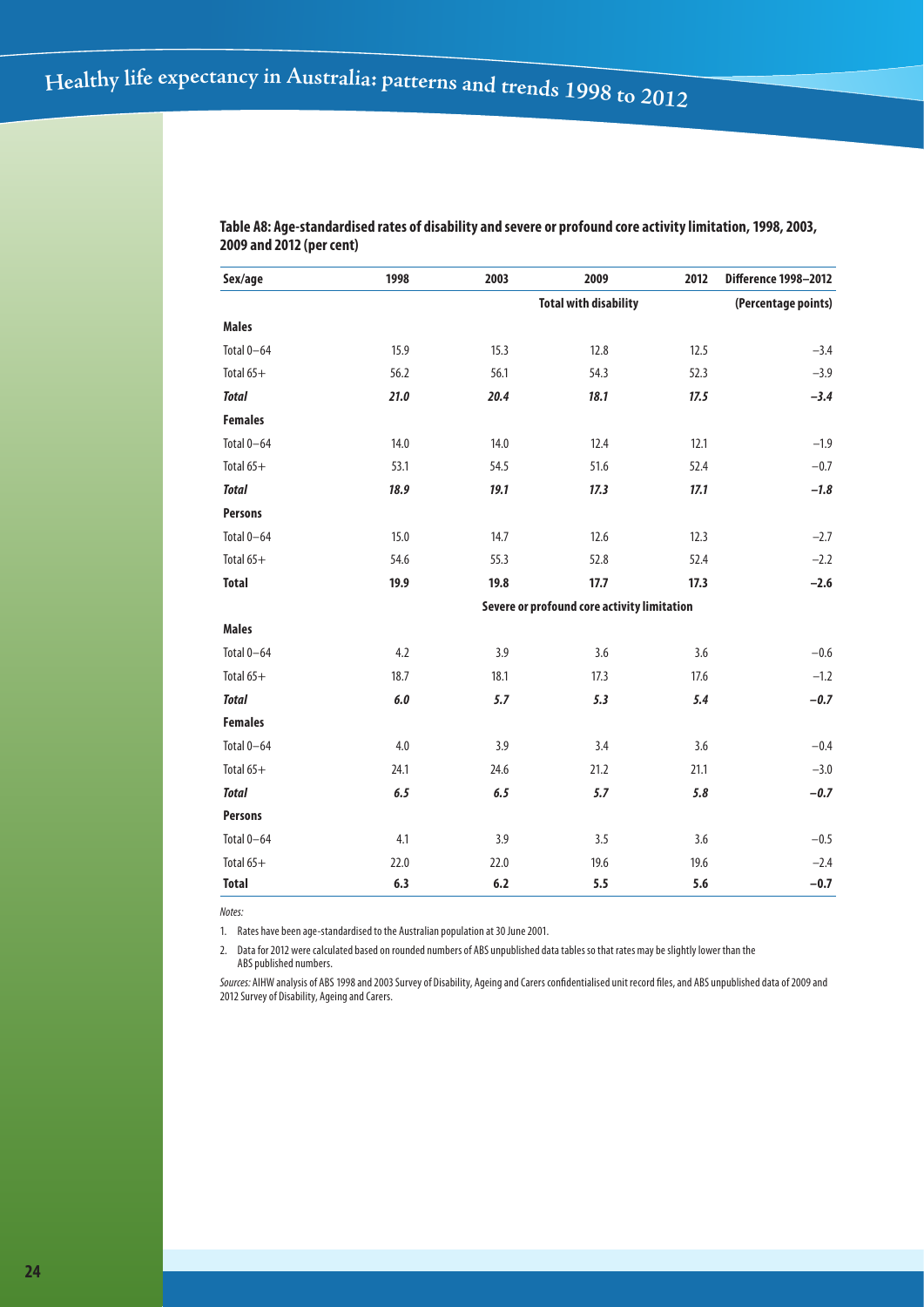| Sex/age        | 1998    | 2003   | 2009                                        | 2012 | <b>Difference 1998-2012</b> |
|----------------|---------|--------|---------------------------------------------|------|-----------------------------|
|                |         |        | <b>Total with disability</b>                |      | (Percentage points)         |
| <b>Males</b>   |         |        |                                             |      |                             |
| Total 0-64     | 15.9    | 15.3   | 12.8                                        | 12.5 | $-3.4$                      |
| Total 65+      | 56.2    | 56.1   | 54.3                                        | 52.3 | $-3.9$                      |
| <b>Total</b>   | 21.0    | 20.4   | 18.1                                        | 17.5 | $-3.4$                      |
| <b>Females</b> |         |        |                                             |      |                             |
| Total 0-64     | 14.0    | $14.0$ | 12.4                                        | 12.1 | $-1.9$                      |
| Total 65+      | 53.1    | 54.5   | 51.6                                        | 52.4 | $-0.7$                      |
| <b>Total</b>   | 18.9    | 19.1   | 17.3                                        | 17.1 | $-1.8$                      |
| <b>Persons</b> |         |        |                                             |      |                             |
| Total 0-64     | 15.0    | 14.7   | 12.6                                        | 12.3 | $-2.7$                      |
| Total 65+      | 54.6    | 55.3   | 52.8                                        | 52.4 | $-2.2$                      |
| <b>Total</b>   | 19.9    | 19.8   | 17.7                                        | 17.3 | $-2.6$                      |
|                |         |        | Severe or profound core activity limitation |      |                             |
| <b>Males</b>   |         |        |                                             |      |                             |
| Total 0-64     | 4.2     | 3.9    | 3.6                                         | 3.6  | $-0.6$                      |
| Total 65+      | 18.7    | 18.1   | 17.3                                        | 17.6 | $-1.2$                      |
| <b>Total</b>   | $6.0\,$ | 5.7    | 5.3                                         | 5.4  | $-0.7$                      |
| <b>Females</b> |         |        |                                             |      |                             |
| Total 0-64     | 4.0     | 3.9    | 3.4                                         | 3.6  | $-0.4$                      |
| Total 65+      | 24.1    | 24.6   | 21.2                                        | 21.1 | $-3.0$                      |
| <b>Total</b>   | 6.5     | 6.5    | 5.7                                         | 5.8  | $-0.7$                      |
| <b>Persons</b> |         |        |                                             |      |                             |
| Total 0-64     | 4.1     | 3.9    | 3.5                                         | 3.6  | $-0.5$                      |
| Total 65+      | 22.0    | 22.0   | 19.6                                        | 19.6 | $-2.4$                      |
| <b>Total</b>   | 6.3     | 6.2    | 5.5                                         | 5.6  | $-0.7$                      |

**Table A8: Age-standardised rates of disability and severe or profound core activity limitation, 1998, 2003, 2009 and 2012 (per cent)**

*Notes:*

1. Rates have been age-standardised to the Australian population at 30 June 2001.

2. Data for 2012 were calculated based on rounded numbers of ABS unpublished data tables so that rates may be slightly lower than the ABS published numbers.

*Sources:* AIHW analysis of ABS 1998 and 2003 Survey of Disability, Ageing and Carers confidentialised unit record files, and ABS unpublished data of 2009 and 2012 Survey of Disability, Ageing and Carers.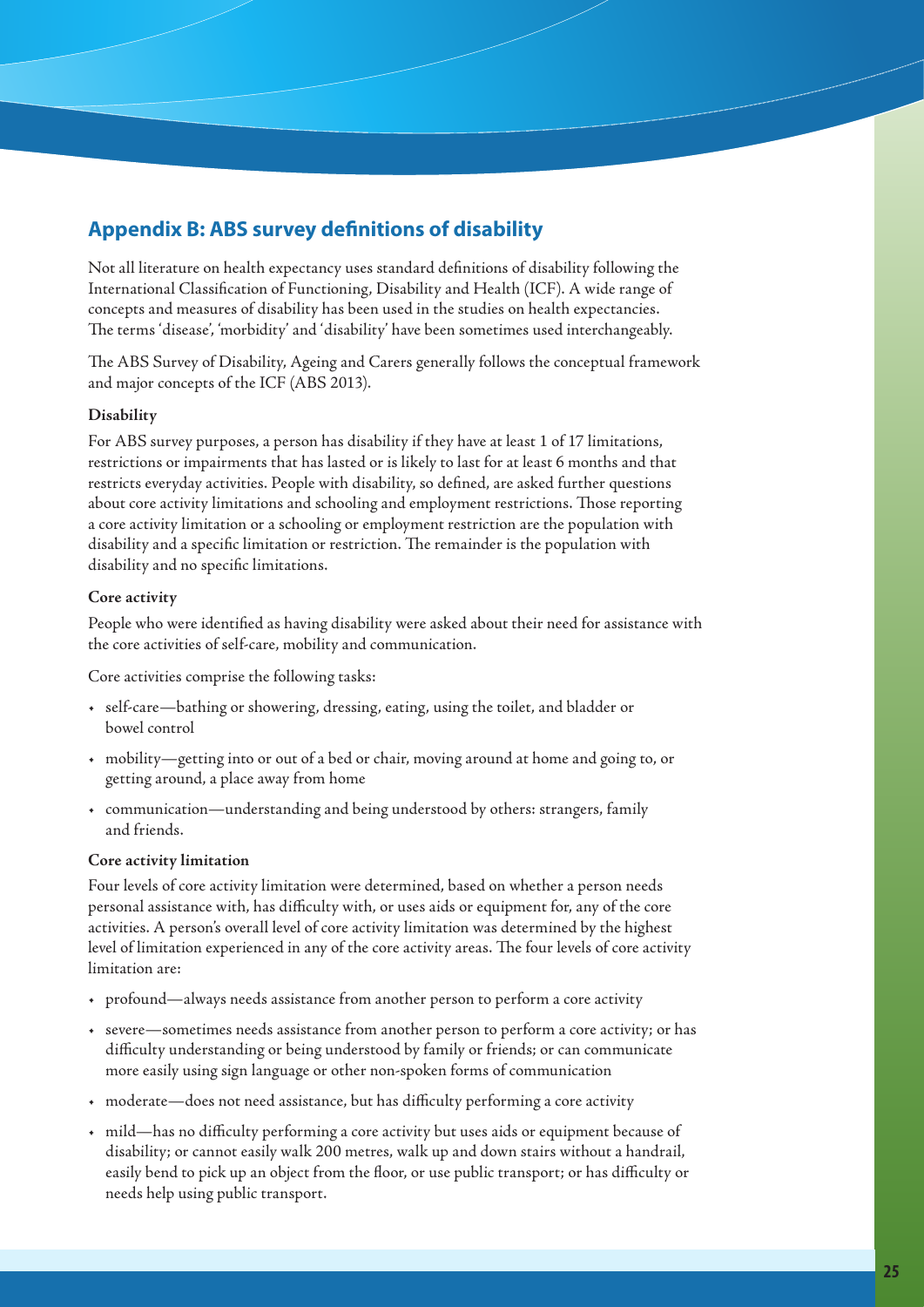# **Appendix B: ABS survey definitions of disability**

Not all literature on health expectancy uses standard definitions of disability following the International Classification of Functioning, Disability and Health (ICF). A wide range of concepts and measures of disability has been used in the studies on health expectancies. The terms 'disease', 'morbidity' and 'disability' have been sometimes used interchangeably.

The ABS Survey of Disability, Ageing and Carers generally follows the conceptual framework and major concepts of the ICF (ABS 2013).

## **Disability**

For ABS survey purposes, a person has disability if they have at least 1 of 17 limitations, restrictions or impairments that has lasted or is likely to last for at least 6 months and that restricts everyday activities. People with disability, so defined, are asked further questions about core activity limitations and schooling and employment restrictions. Those reporting a core activity limitation or a schooling or employment restriction are the population with disability and a specific limitation or restriction. The remainder is the population with disability and no specific limitations.

## **Core activity**

People who were identified as having disability were asked about their need for assistance with the core activities of self-care, mobility and communication.

Core activities comprise the following tasks:

- • self-care—bathing or showering, dressing, eating, using the toilet, and bladder or bowel control
- • mobility—getting into or out of a bed or chair, moving around at home and going to, or getting around, a place away from home
- • communication—understanding and being understood by others: strangers, family and friends.

## **Core activity limitation**

Four levels of core activity limitation were determined, based on whether a person needs personal assistance with, has difficulty with, or uses aids or equipment for, any of the core activities. A person's overall level of core activity limitation was determined by the highest level of limitation experienced in any of the core activity areas. The four levels of core activity limitation are:

- • profound—always needs assistance from another person to perform a core activity
- • severe—sometimes needs assistance from another person to perform a core activity; or has difficulty understanding or being understood by family or friends; or can communicate more easily using sign language or other non-spoken forms of communication
- • moderate—does not need assistance, but has difficulty performing a core activity
- mild—has no difficulty performing a core activity but uses aids or equipment because of disability; or cannot easily walk 200 metres, walk up and down stairs without a handrail, easily bend to pick up an object from the floor, or use public transport; or has difficulty or needs help using public transport.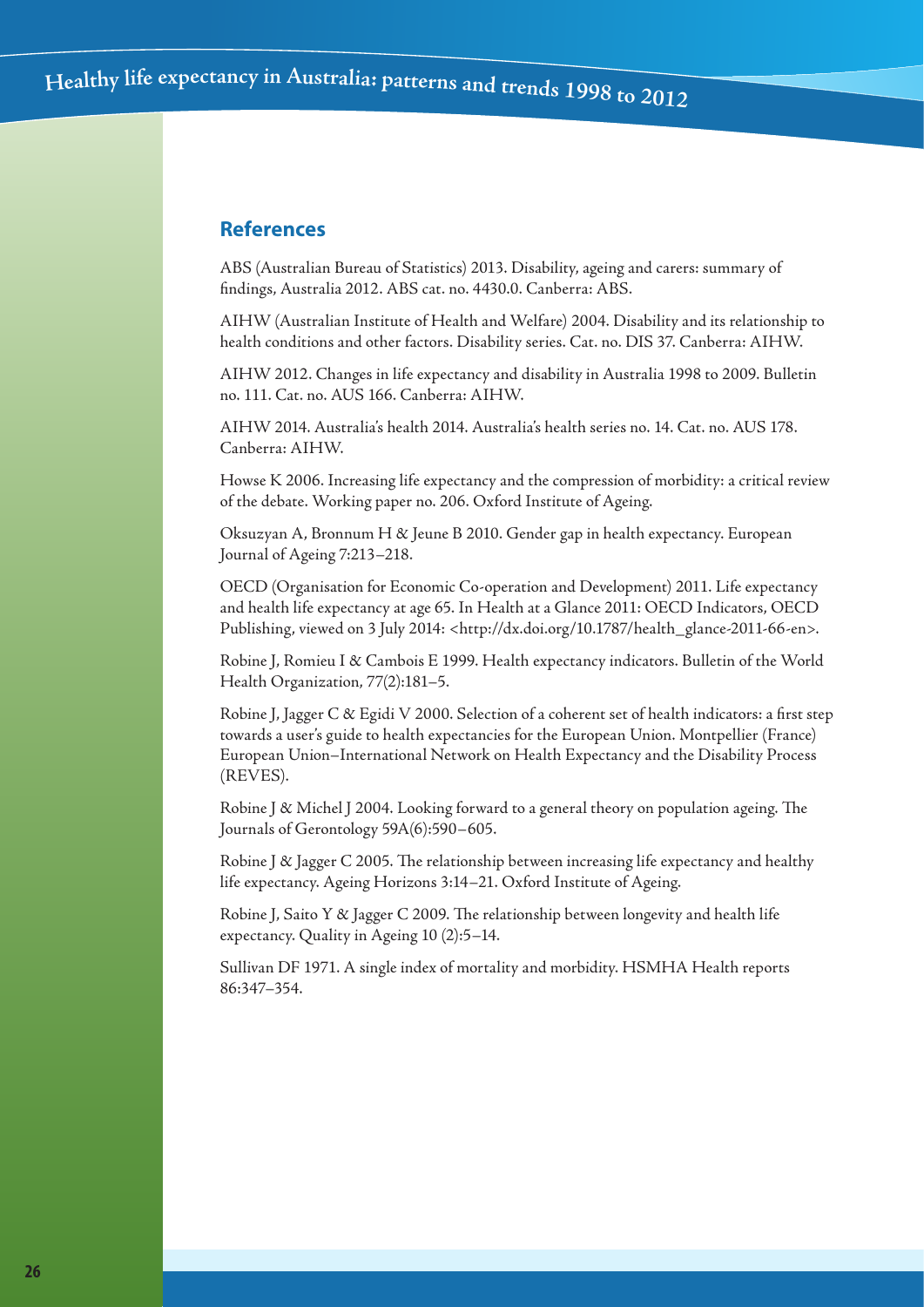## **References**

ABS (Australian Bureau of Statistics) 2013. Disability, ageing and carers: summary of findings, Australia 2012. ABS cat. no. 4430.0. Canberra: ABS.

AIHW (Australian Institute of Health and Welfare) 2004. Disability and its relationship to health conditions and other factors. Disability series. Cat. no. DIS 37. Canberra: AIHW.

AIHW 2012. Changes in life expectancy and disability in Australia 1998 to 2009. Bulletin no. 111. Cat. no. AUS 166. Canberra: AIHW.

AIHW 2014. Australia's health 2014. Australia's health series no. 14. Cat. no. AUS 178. Canberra: AIHW.

Howse K 2006. Increasing life expectancy and the compression of morbidity: a critical review of the debate. Working paper no. 206. Oxford Institute of Ageing.

Oksuzyan A, Bronnum H & Jeune B 2010. Gender gap in health expectancy. European Journal of Ageing 7:213–218.

OECD (Organisation for Economic Co-operation and Development) 2011. Life expectancy and health life expectancy at age 65. In Health at a Glance 2011: OECD Indicators, OECD Publishing, viewed on 3 July 2014: <http://dx.doi.org/10.1787/health\_glance-2011-66-en>.

Robine J, Romieu I & Cambois E 1999. Health expectancy indicators. Bulletin of the World Health Organization, 77(2):181–5.

Robine J, Jagger C & Egidi V 2000. Selection of a coherent set of health indicators: a first step towards a user's guide to health expectancies for the European Union. Montpellier (France) European Union–International Network on Health Expectancy and the Disability Process (REVES).

Robine J & Michel J 2004. Looking forward to a general theory on population ageing. The Journals of Gerontology 59A(6):590–605.

Robine J & Jagger C 2005. The relationship between increasing life expectancy and healthy life expectancy. Ageing Horizons 3:14–21. Oxford Institute of Ageing.

Robine J, Saito Y  $\&$  Jagger C 2009. The relationship between longevity and health life expectancy. Quality in Ageing 10 (2):5–14.

Sullivan DF 1971. A single index of mortality and morbidity. HSMHA Health reports 86:347–354.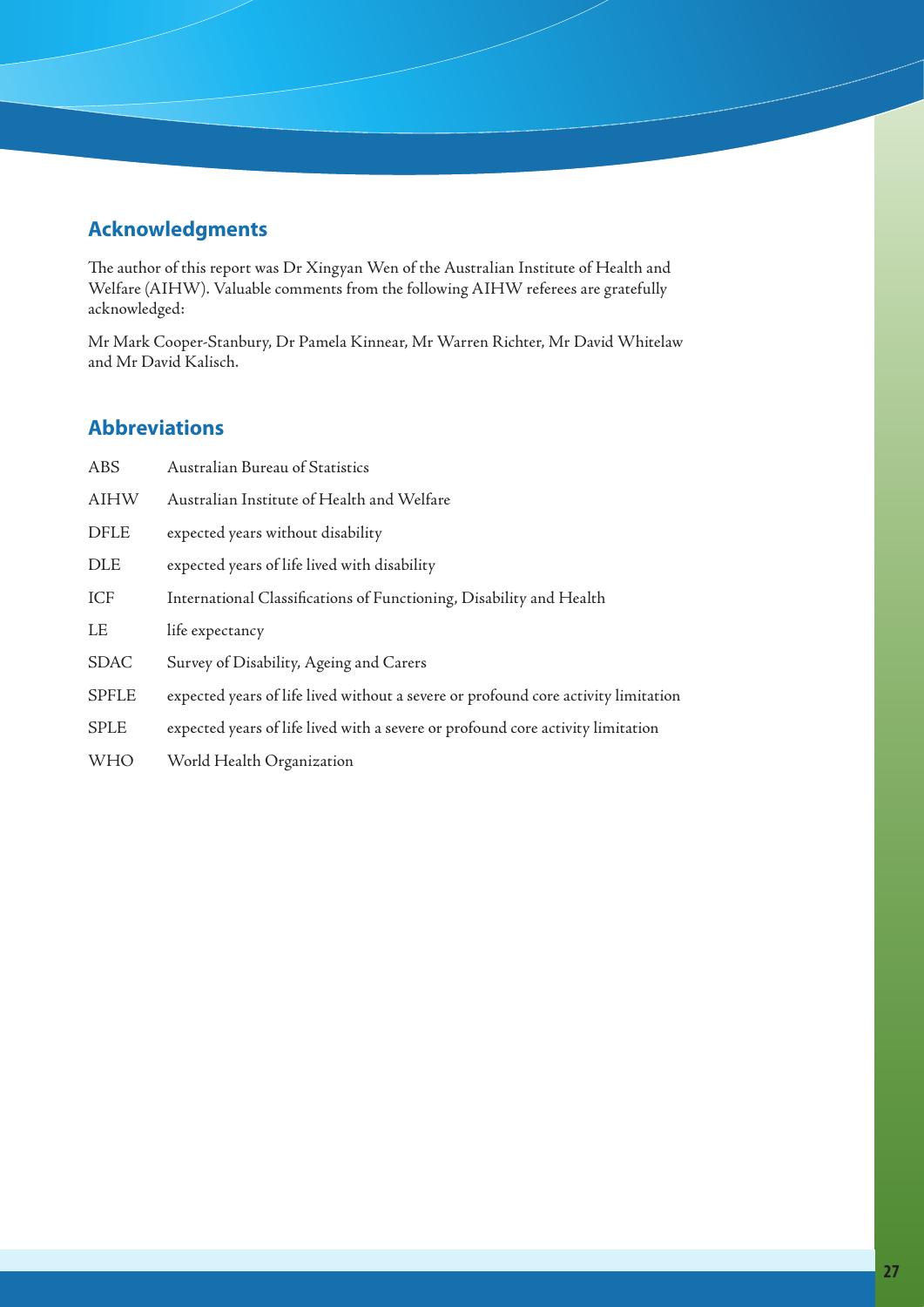# **Acknowledgments**

The author of this report was Dr Xingyan Wen of the Australian Institute of Health and Welfare (AIHW). Valuable comments from the following AIHW referees are gratefully acknowledged:

Mr Mark Cooper-Stanbury, Dr Pamela Kinnear, Mr Warren Richter, Mr David Whitelaw and Mr David Kalisch.

# **Abbreviations**

| <b>ABS</b>   | <b>Australian Bureau of Statistics</b>                                             |
|--------------|------------------------------------------------------------------------------------|
| <b>AIHW</b>  | Australian Institute of Health and Welfare                                         |
| <b>DFLE</b>  | expected years without disability                                                  |
| <b>DLE</b>   | expected years of life lived with disability                                       |
| ICF          | International Classifications of Functioning, Disability and Health                |
| LE           | life expectancy                                                                    |
| <b>SDAC</b>  | Survey of Disability, Ageing and Carers                                            |
| <b>SPFLE</b> | expected years of life lived without a severe or profound core activity limitation |
| <b>SPLE</b>  | expected years of life lived with a severe or profound core activity limitation    |
| <b>WHO</b>   | World Health Organization                                                          |